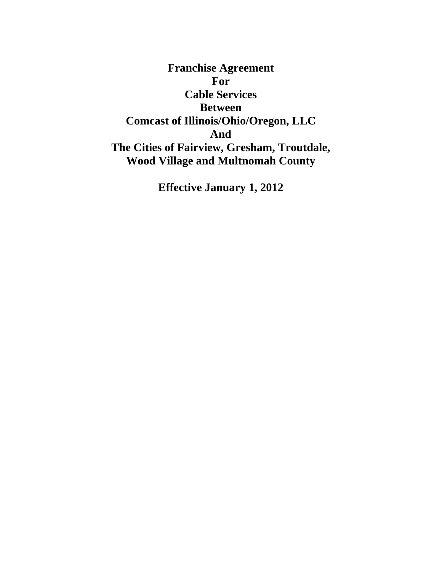**Franchise Agreement For Cable Services Between Comcast of Illinois/Ohio/Oregon, LLC And The Cities of Fairview, Gresham, Troutdale, Wood Village and Multnomah County** 

**Effective January 1, 2012**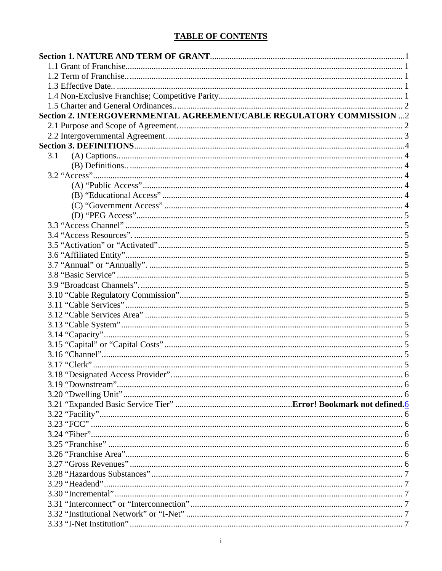# **TABLE OF CONTENTS**

| Section 2. INTERGOVERNMENTAL AGREEMENT/CABLE REGULATORY COMMISSION 2 |  |
|----------------------------------------------------------------------|--|
|                                                                      |  |
|                                                                      |  |
|                                                                      |  |
| 3.1                                                                  |  |
|                                                                      |  |
|                                                                      |  |
|                                                                      |  |
|                                                                      |  |
|                                                                      |  |
|                                                                      |  |
|                                                                      |  |
|                                                                      |  |
|                                                                      |  |
|                                                                      |  |
|                                                                      |  |
|                                                                      |  |
|                                                                      |  |
|                                                                      |  |
|                                                                      |  |
|                                                                      |  |
|                                                                      |  |
|                                                                      |  |
|                                                                      |  |
|                                                                      |  |
|                                                                      |  |
|                                                                      |  |
|                                                                      |  |
|                                                                      |  |
|                                                                      |  |
|                                                                      |  |
|                                                                      |  |
|                                                                      |  |
|                                                                      |  |
|                                                                      |  |
|                                                                      |  |
|                                                                      |  |
|                                                                      |  |
|                                                                      |  |
|                                                                      |  |
|                                                                      |  |
|                                                                      |  |
|                                                                      |  |
|                                                                      |  |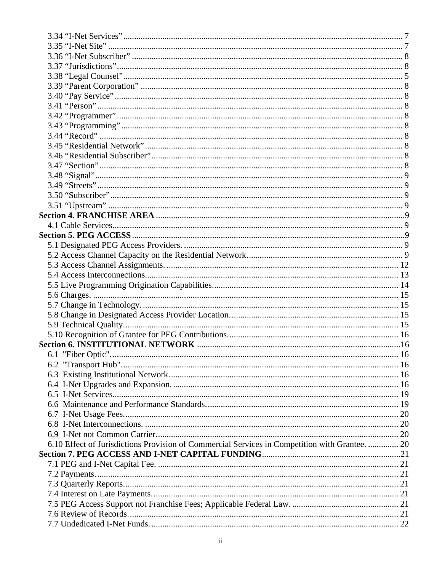| 6.10 Effect of Jurisdictions Provision of Commercial Services in Competition with Grantee.  20 |  |
|------------------------------------------------------------------------------------------------|--|
|                                                                                                |  |
|                                                                                                |  |
|                                                                                                |  |
|                                                                                                |  |
|                                                                                                |  |
|                                                                                                |  |
|                                                                                                |  |
|                                                                                                |  |
|                                                                                                |  |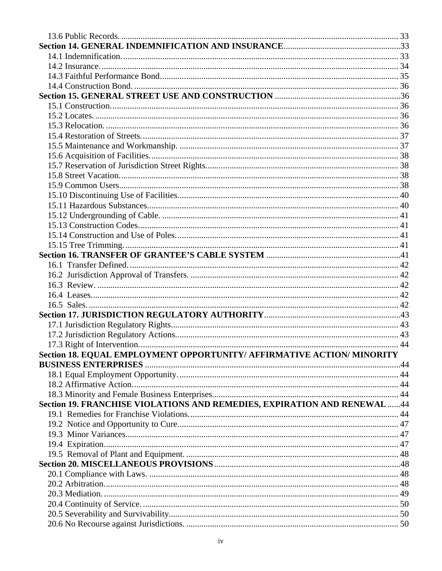| Section 18. EQUAL EMPLOYMENT OPPORTUNITY/ AFFIRMATIVE ACTION/ MINORITY   |  |
|--------------------------------------------------------------------------|--|
|                                                                          |  |
|                                                                          |  |
|                                                                          |  |
|                                                                          |  |
| Section 19. FRANCHISE VIOLATIONS AND REMEDIES, EXPIRATION AND RENEWAL 44 |  |
|                                                                          |  |
|                                                                          |  |
|                                                                          |  |
|                                                                          |  |
|                                                                          |  |
|                                                                          |  |
|                                                                          |  |
|                                                                          |  |
|                                                                          |  |
|                                                                          |  |
|                                                                          |  |
|                                                                          |  |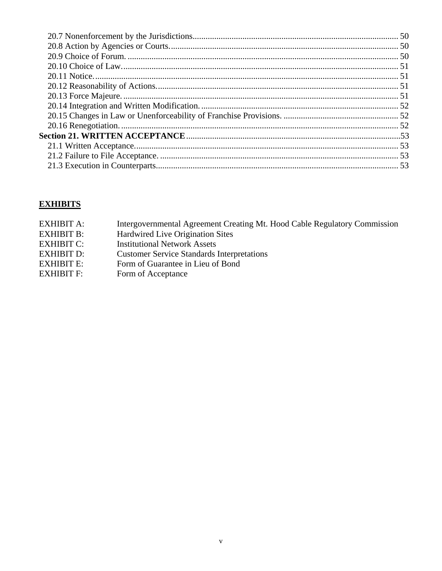# **EXHIBITS**

| EXHIBIT A:        | Intergovernmental Agreement Creating Mt. Hood Cable Regulatory Commission |
|-------------------|---------------------------------------------------------------------------|
| <b>EXHIBIT B:</b> | Hardwired Live Origination Sites                                          |
| <b>EXHIBIT C:</b> | <b>Institutional Network Assets</b>                                       |
| <b>EXHIBIT D:</b> | <b>Customer Service Standards Interpretations</b>                         |
| <b>EXHIBIT E:</b> | Form of Guarantee in Lieu of Bond                                         |
| <b>EXHIBIT F:</b> | Form of Acceptance                                                        |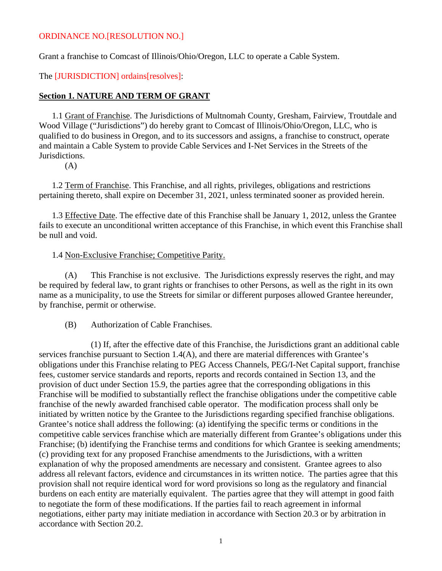#### ORDINANCE NO.[RESOLUTION NO.]

Grant a franchise to Comcast of Illinois/Ohio/Oregon, LLC to operate a Cable System.

The [JURISDICTION] ordains[resolves]:

#### <span id="page-6-0"></span>**Section 1. NATURE AND TERM OF GRANT**

<span id="page-6-1"></span>1.1 Grant of Franchise. The Jurisdictions of Multnomah County, Gresham, Fairview, Troutdale and Wood Village ("Jurisdictions") do hereby grant to Comcast of Illinois/Ohio/Oregon, LLC, who is qualified to do business in Oregon, and to its successors and assigns, a franchise to construct, operate and maintain a Cable System to provide Cable Services and I-Net Services in the Streets of the Jurisdictions.

(A)

<span id="page-6-2"></span>1.2 Term of Franchise. This Franchise, and all rights, privileges, obligations and restrictions pertaining thereto, shall expire on December 31, 2021, unless terminated sooner as provided herein.

<span id="page-6-3"></span>1.3 Effective Date. The effective date of this Franchise shall be January 1, 2012, unless the Grantee fails to execute an unconditional written acceptance of this Franchise, in which event this Franchise shall be null and void.

#### 1.4 Non-Exclusive Franchise; Competitive Parity.

<span id="page-6-4"></span>(A) This Franchise is not exclusive. The Jurisdictions expressly reserves the right, and may be required by federal law, to grant rights or franchises to other Persons, as well as the right in its own name as a municipality, to use the Streets for similar or different purposes allowed Grantee hereunder, by franchise, permit or otherwise.

(B) Authorization of Cable Franchises.

 (1) If, after the effective date of this Franchise, the Jurisdictions grant an additional cable services franchise pursuant to Section 1.4(A), and there are material differences with Grantee's obligations under this Franchise relating to PEG Access Channels, PEG/I-Net Capital support, franchise fees, customer service standards and reports, reports and records contained in Section 13, and the provision of duct under Section 15.9, the parties agree that the corresponding obligations in this Franchise will be modified to substantially reflect the franchise obligations under the competitive cable franchise of the newly awarded franchised cable operator. The modification process shall only be initiated by written notice by the Grantee to the Jurisdictions regarding specified franchise obligations. Grantee's notice shall address the following: (a) identifying the specific terms or conditions in the competitive cable services franchise which are materially different from Grantee's obligations under this Franchise; (b) identifying the Franchise terms and conditions for which Grantee is seeking amendments; (c) providing text for any proposed Franchise amendments to the Jurisdictions, with a written explanation of why the proposed amendments are necessary and consistent. Grantee agrees to also address all relevant factors, evidence and circumstances in its written notice. The parties agree that this provision shall not require identical word for word provisions so long as the regulatory and financial burdens on each entity are materially equivalent. The parties agree that they will attempt in good faith to negotiate the form of these modifications. If the parties fail to reach agreement in informal negotiations, either party may initiate mediation in accordance with Section 20.3 or by arbitration in accordance with Section 20.2.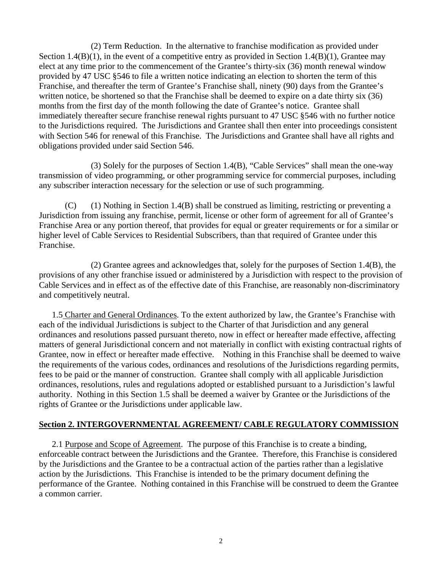(2) Term Reduction. In the alternative to franchise modification as provided under Section 1.4(B)(1), in the event of a competitive entry as provided in Section 1.4(B)(1), Grantee may elect at any time prior to the commencement of the Grantee's thirty-six (36) month renewal window provided by 47 USC §546 to file a written notice indicating an election to shorten the term of this Franchise, and thereafter the term of Grantee's Franchise shall, ninety (90) days from the Grantee's written notice, be shortened so that the Franchise shall be deemed to expire on a date thirty six (36) months from the first day of the month following the date of Grantee's notice. Grantee shall immediately thereafter secure franchise renewal rights pursuant to 47 USC §546 with no further notice to the Jurisdictions required. The Jurisdictions and Grantee shall then enter into proceedings consistent with Section 546 for renewal of this Franchise. The Jurisdictions and Grantee shall have all rights and obligations provided under said Section 546.

 (3) Solely for the purposes of Section 1.4(B), "Cable Services" shall mean the one-way transmission of video programming, or other programming service for commercial purposes, including any subscriber interaction necessary for the selection or use of such programming.

 $(C)$  (1) Nothing in Section 1.4(B) shall be construed as limiting, restricting or preventing a Jurisdiction from issuing any franchise, permit, license or other form of agreement for all of Grantee's Franchise Area or any portion thereof, that provides for equal or greater requirements or for a similar or higher level of Cable Services to Residential Subscribers, than that required of Grantee under this Franchise.

 (2) Grantee agrees and acknowledges that, solely for the purposes of Section 1.4(B), the provisions of any other franchise issued or administered by a Jurisdiction with respect to the provision of Cable Services and in effect as of the effective date of this Franchise, are reasonably non-discriminatory and competitively neutral.

<span id="page-7-0"></span>1.5 Charter and General Ordinances. To the extent authorized by law, the Grantee's Franchise with each of the individual Jurisdictions is subject to the Charter of that Jurisdiction and any general ordinances and resolutions passed pursuant thereto, now in effect or hereafter made effective, affecting matters of general Jurisdictional concern and not materially in conflict with existing contractual rights of Grantee, now in effect or hereafter made effective. Nothing in this Franchise shall be deemed to waive the requirements of the various codes, ordinances and resolutions of the Jurisdictions regarding permits, fees to be paid or the manner of construction. Grantee shall comply with all applicable Jurisdiction ordinances, resolutions, rules and regulations adopted or established pursuant to a Jurisdiction's lawful authority. Nothing in this Section 1.5 shall be deemed a waiver by Grantee or the Jurisdictions of the rights of Grantee or the Jurisdictions under applicable law.

# <span id="page-7-1"></span>**Section 2. INTERGOVERNMENTAL AGREEMENT/ CABLE REGULATORY COMMISSION**

2.1 Purpose and Scope of Agreement. The purpose of this Franchise is to create a binding, enforceable contract between the Jurisdictions and the Grantee. Therefore, this Franchise is considered by the Jurisdictions and the Grantee to be a contractual action of the parties rather than a legislative action by the Jurisdictions. This Franchise is intended to be the primary document defining the performance of the Grantee. Nothing contained in this Franchise will be construed to deem the Grantee a common carrier.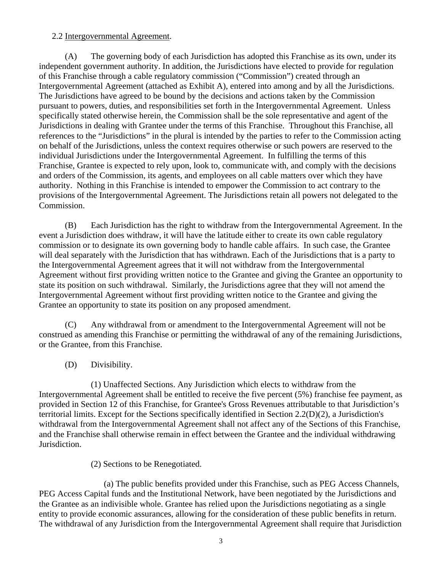### 2.2 Intergovernmental Agreement.

 (A) The governing body of each Jurisdiction has adopted this Franchise as its own, under its independent government authority. In addition, the Jurisdictions have elected to provide for regulation of this Franchise through a cable regulatory commission ("Commission") created through an Intergovernmental Agreement (attached as Exhibit A), entered into among and by all the Jurisdictions. The Jurisdictions have agreed to be bound by the decisions and actions taken by the Commission pursuant to powers, duties, and responsibilities set forth in the Intergovernmental Agreement. Unless specifically stated otherwise herein, the Commission shall be the sole representative and agent of the Jurisdictions in dealing with Grantee under the terms of this Franchise. Throughout this Franchise, all references to the "Jurisdictions" in the plural is intended by the parties to refer to the Commission acting on behalf of the Jurisdictions, unless the context requires otherwise or such powers are reserved to the individual Jurisdictions under the Intergovernmental Agreement. In fulfilling the terms of this Franchise, Grantee is expected to rely upon, look to, communicate with, and comply with the decisions and orders of the Commission, its agents, and employees on all cable matters over which they have authority. Nothing in this Franchise is intended to empower the Commission to act contrary to the provisions of the Intergovernmental Agreement. The Jurisdictions retain all powers not delegated to the Commission.

(B) Each Jurisdiction has the right to withdraw from the Intergovernmental Agreement. In the event a Jurisdiction does withdraw, it will have the latitude either to create its own cable regulatory commission or to designate its own governing body to handle cable affairs. In such case, the Grantee will deal separately with the Jurisdiction that has withdrawn. Each of the Jurisdictions that is a party to the Intergovernmental Agreement agrees that it will not withdraw from the Intergovernmental Agreement without first providing written notice to the Grantee and giving the Grantee an opportunity to state its position on such withdrawal. Similarly, the Jurisdictions agree that they will not amend the Intergovernmental Agreement without first providing written notice to the Grantee and giving the Grantee an opportunity to state its position on any proposed amendment.

 (C) Any withdrawal from or amendment to the Intergovernmental Agreement will not be construed as amending this Franchise or permitting the withdrawal of any of the remaining Jurisdictions, or the Grantee, from this Franchise.

(D) Divisibility.

 (1) Unaffected Sections. Any Jurisdiction which elects to withdraw from the Intergovernmental Agreement shall be entitled to receive the five percent (5%) franchise fee payment, as provided in Section 12 of this Franchise, for Grantee's Gross Revenues attributable to that Jurisdiction's territorial limits. Except for the Sections specifically identified in Section 2.2(D)(2), a Jurisdiction's withdrawal from the Intergovernmental Agreement shall not affect any of the Sections of this Franchise, and the Franchise shall otherwise remain in effect between the Grantee and the individual withdrawing Jurisdiction.

(2) Sections to be Renegotiated.

(a) The public benefits provided under this Franchise, such as PEG Access Channels, PEG Access Capital funds and the Institutional Network, have been negotiated by the Jurisdictions and the Grantee as an indivisible whole. Grantee has relied upon the Jurisdictions negotiating as a single entity to provide economic assurances, allowing for the consideration of these public benefits in return. The withdrawal of any Jurisdiction from the Intergovernmental Agreement shall require that Jurisdiction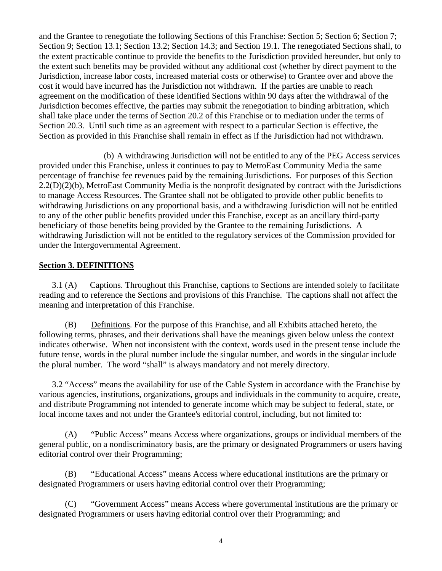and the Grantee to renegotiate the following Sections of this Franchise: Section 5; Section 6; Section 7; Section 9; Section 13.1; Section 13.2; Section 14.3; and Section 19.1. The renegotiated Sections shall, to the extent practicable continue to provide the benefits to the Jurisdiction provided hereunder, but only to the extent such benefits may be provided without any additional cost (whether by direct payment to the Jurisdiction, increase labor costs, increased material costs or otherwise) to Grantee over and above the cost it would have incurred has the Jurisdiction not withdrawn. If the parties are unable to reach agreement on the modification of these identified Sections within 90 days after the withdrawal of the Jurisdiction becomes effective, the parties may submit the renegotiation to binding arbitration, which shall take place under the terms of Section 20.2 of this Franchise or to mediation under the terms of Section 20.3. Until such time as an agreement with respect to a particular Section is effective, the Section as provided in this Franchise shall remain in effect as if the Jurisdiction had not withdrawn.

(b) A withdrawing Jurisdiction will not be entitled to any of the PEG Access services provided under this Franchise, unless it continues to pay to MetroEast Community Media the same percentage of franchise fee revenues paid by the remaining Jurisdictions. For purposes of this Section 2.2(D)(2)(b), MetroEast Community Media is the nonprofit designated by contract with the Jurisdictions to manage Access Resources. The Grantee shall not be obligated to provide other public benefits to withdrawing Jurisdictions on any proportional basis, and a withdrawing Jurisdiction will not be entitled to any of the other public benefits provided under this Franchise, except as an ancillary third-party beneficiary of those benefits being provided by the Grantee to the remaining Jurisdictions. A withdrawing Jurisdiction will not be entitled to the regulatory services of the Commission provided for under the Intergovernmental Agreement.

### <span id="page-9-1"></span>**Section 3. DEFINITIONS**

<span id="page-9-2"></span>3.1 (A) Captions. Throughout this Franchise, captions to Sections are intended solely to facilitate reading and to reference the Sections and provisions of this Franchise. The captions shall not affect the meaning and interpretation of this Franchise.

<span id="page-9-3"></span>(B) Definitions. For the purpose of this Franchise, and all Exhibits attached hereto, the following terms, phrases, and their derivations shall have the meanings given below unless the context indicates otherwise. When not inconsistent with the context, words used in the present tense include the future tense, words in the plural number include the singular number, and words in the singular include the plural number. The word "shall" is always mandatory and not merely directory.

<span id="page-9-4"></span>3.2 "Access" means the availability for use of the Cable System in accordance with the Franchise by various agencies, institutions, organizations, groups and individuals in the community to acquire, create, and distribute Programming not intended to generate income which may be subject to federal, state, or local income taxes and not under the Grantee's editorial control, including, but not limited to:

<span id="page-9-5"></span><span id="page-9-0"></span>(A) "Public Access" means Access where organizations, groups or individual members of the general public, on a nondiscriminatory basis, are the primary or designated Programmers or users having editorial control over their Programming;

<span id="page-9-6"></span>(B) "Educational Access" means Access where educational institutions are the primary or designated Programmers or users having editorial control over their Programming;

<span id="page-9-7"></span>(C) "Government Access" means Access where governmental institutions are the primary or designated Programmers or users having editorial control over their Programming; and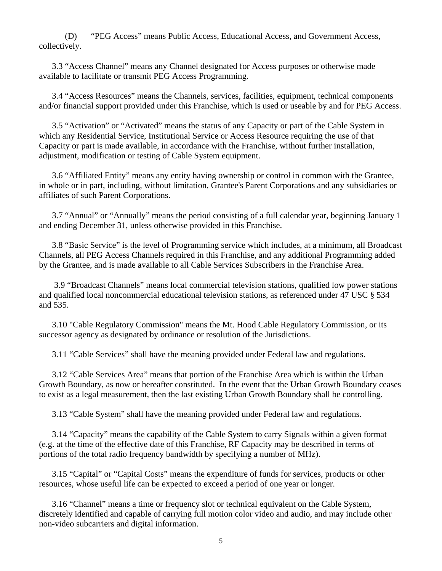<span id="page-10-0"></span>(D) "PEG Access" means Public Access, Educational Access, and Government Access, collectively.

<span id="page-10-1"></span>3.3 "Access Channel" means any Channel designated for Access purposes or otherwise made available to facilitate or transmit PEG Access Programming.

<span id="page-10-2"></span>3.4 "Access Resources" means the Channels, services, facilities, equipment, technical components and/or financial support provided under this Franchise, which is used or useable by and for PEG Access.

<span id="page-10-3"></span>3.5 "Activation" or "Activated" means the status of any Capacity or part of the Cable System in which any Residential Service, Institutional Service or Access Resource requiring the use of that Capacity or part is made available, in accordance with the Franchise, without further installation, adjustment, modification or testing of Cable System equipment.

<span id="page-10-4"></span>3.6 "Affiliated Entity" means any entity having ownership or control in common with the Grantee, in whole or in part, including, without limitation, Grantee's Parent Corporations and any subsidiaries or affiliates of such Parent Corporations.

<span id="page-10-5"></span>3.7 "Annual" or "Annually" means the period consisting of a full calendar year, beginning January 1 and ending December 31, unless otherwise provided in this Franchise.

<span id="page-10-6"></span>3.8 "Basic Service" is the level of Programming service which includes, at a minimum, all Broadcast Channels, all PEG Access Channels required in this Franchise, and any additional Programming added by the Grantee, and is made available to all Cable Services Subscribers in the Franchise Area.

<span id="page-10-7"></span> 3.9 "Broadcast Channels" means local commercial television stations, qualified low power stations and qualified local noncommercial educational television stations, as referenced under 47 USC § 534 and 535.

<span id="page-10-8"></span>3.10 "Cable Regulatory Commission" means the Mt. Hood Cable Regulatory Commission, or its successor agency as designated by ordinance or resolution of the Jurisdictions.

3.11 "Cable Services" shall have the meaning provided under Federal law and regulations.

<span id="page-10-9"></span>3.12 "Cable Services Area" means that portion of the Franchise Area which is within the Urban Growth Boundary, as now or hereafter constituted. In the event that the Urban Growth Boundary ceases to exist as a legal measurement, then the last existing Urban Growth Boundary shall be controlling.

3.13 "Cable System" shall have the meaning provided under Federal law and regulations.

<span id="page-10-11"></span><span id="page-10-10"></span>3.14 "Capacity" means the capability of the Cable System to carry Signals within a given format (e.g. at the time of the effective date of this Franchise, RF Capacity may be described in terms of portions of the total radio frequency bandwidth by specifying a number of MHz).

<span id="page-10-12"></span>3.15 "Capital" or "Capital Costs" means the expenditure of funds for services, products or other resources, whose useful life can be expected to exceed a period of one year or longer.

<span id="page-10-13"></span>3.16 "Channel" means a time or frequency slot or technical equivalent on the Cable System, discretely identified and capable of carrying full motion color video and audio, and may include other non-video subcarriers and digital information.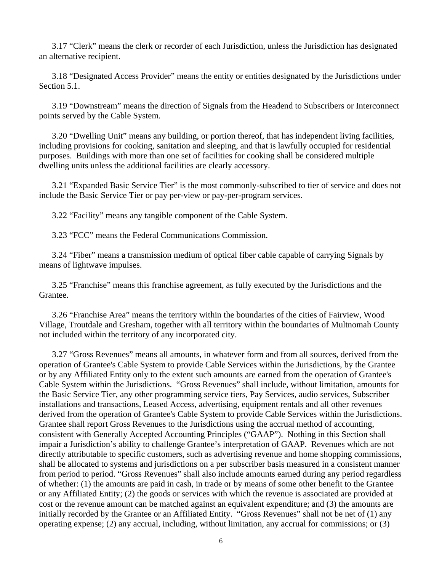3.17 "Clerk" means the clerk or recorder of each Jurisdiction, unless the Jurisdiction has designated an alternative recipient.

<span id="page-11-0"></span>3.18 "Designated Access Provider" means the entity or entities designated by the Jurisdictions under Section 5.1.

<span id="page-11-1"></span>3.19 "Downstream" means the direction of Signals from the Headend to Subscribers or Interconnect points served by the Cable System.

<span id="page-11-2"></span>3.20 "Dwelling Unit" means any building, or portion thereof, that has independent living facilities, including provisions for cooking, sanitation and sleeping, and that is lawfully occupied for residential purposes. Buildings with more than one set of facilities for cooking shall be considered multiple dwelling units unless the additional facilities are clearly accessory.

<span id="page-11-3"></span>3.21 "Expanded Basic Service Tier" is the most commonly-subscribed to tier of service and does not include the Basic Service Tier or pay per-view or pay-per-program services.

3.22 "Facility" means any tangible component of the Cable System.

3.23 "FCC" means the Federal Communications Commission.

<span id="page-11-5"></span><span id="page-11-4"></span>3.24 "Fiber" means a transmission medium of optical fiber cable capable of carrying Signals by means of lightwave impulses.

<span id="page-11-6"></span>3.25 "Franchise" means this franchise agreement, as fully executed by the Jurisdictions and the Grantee.

<span id="page-11-7"></span>3.26 "Franchise Area" means the territory within the boundaries of the cities of Fairview, Wood Village, Troutdale and Gresham, together with all territory within the boundaries of Multnomah County not included within the territory of any incorporated city.

3.27 "Gross Revenues" means all amounts, in whatever form and from all sources, derived from the operation of Grantee's Cable System to provide Cable Services within the Jurisdictions, by the Grantee or by any Affiliated Entity only to the extent such amounts are earned from the operation of Grantee's Cable System within the Jurisdictions. "Gross Revenues" shall include, without limitation, amounts for the Basic Service Tier, any other programming service tiers, Pay Services, audio services, Subscriber installations and transactions, Leased Access, advertising, equipment rentals and all other revenues derived from the operation of Grantee's Cable System to provide Cable Services within the Jurisdictions. Grantee shall report Gross Revenues to the Jurisdictions using the accrual method of accounting, consistent with Generally Accepted Accounting Principles ("GAAP"). Nothing in this Section shall impair a Jurisdiction's ability to challenge Grantee's interpretation of GAAP. Revenues which are not directly attributable to specific customers, such as advertising revenue and home shopping commissions, shall be allocated to systems and jurisdictions on a per subscriber basis measured in a consistent manner from period to period. "Gross Revenues" shall also include amounts earned during any period regardless of whether: (1) the amounts are paid in cash, in trade or by means of some other benefit to the Grantee or any Affiliated Entity; (2) the goods or services with which the revenue is associated are provided at cost or the revenue amount can be matched against an equivalent expenditure; and (3) the amounts are initially recorded by the Grantee or an Affiliated Entity. "Gross Revenues" shall not be net of (1) any operating expense; (2) any accrual, including, without limitation, any accrual for commissions; or (3)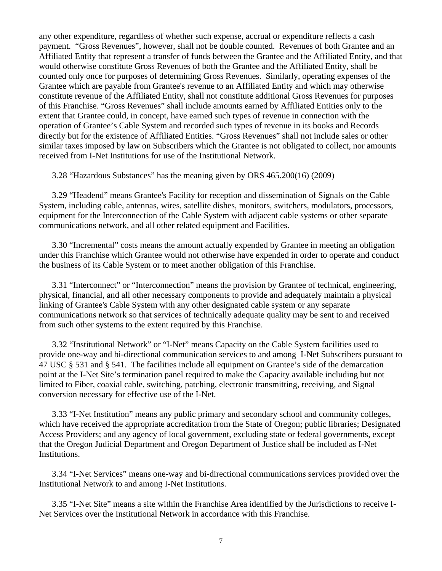any other expenditure, regardless of whether such expense, accrual or expenditure reflects a cash payment. "Gross Revenues", however, shall not be double counted. Revenues of both Grantee and an Affiliated Entity that represent a transfer of funds between the Grantee and the Affiliated Entity, and that would otherwise constitute Gross Revenues of both the Grantee and the Affiliated Entity, shall be counted only once for purposes of determining Gross Revenues. Similarly, operating expenses of the Grantee which are payable from Grantee's revenue to an Affiliated Entity and which may otherwise constitute revenue of the Affiliated Entity, shall not constitute additional Gross Revenues for purposes of this Franchise. "Gross Revenues" shall include amounts earned by Affiliated Entities only to the extent that Grantee could, in concept, have earned such types of revenue in connection with the operation of Grantee's Cable System and recorded such types of revenue in its books and Records directly but for the existence of Affiliated Entities. "Gross Revenues" shall not include sales or other similar taxes imposed by law on Subscribers which the Grantee is not obligated to collect, nor amounts received from I-Net Institutions for use of the Institutional Network.

3.28 "Hazardous Substances" has the meaning given by ORS 465.200(16) (2009)

<span id="page-12-2"></span><span id="page-12-1"></span>3.29 "Headend" means Grantee's Facility for reception and dissemination of Signals on the Cable System, including cable, antennas, wires, satellite dishes, monitors, switchers, modulators, processors, equipment for the Interconnection of the Cable System with adjacent cable systems or other separate communications network, and all other related equipment and Facilities.

<span id="page-12-3"></span>3.30 "Incremental" costs means the amount actually expended by Grantee in meeting an obligation under this Franchise which Grantee would not otherwise have expended in order to operate and conduct the business of its Cable System or to meet another obligation of this Franchise.

<span id="page-12-4"></span>3.31 "Interconnect" or "Interconnection" means the provision by Grantee of technical, engineering, physical, financial, and all other necessary components to provide and adequately maintain a physical linking of Grantee's Cable System with any other designated cable system or any separate communications network so that services of technically adequate quality may be sent to and received from such other systems to the extent required by this Franchise.

<span id="page-12-5"></span><span id="page-12-0"></span>3.32 "Institutional Network" or "I-Net" means Capacity on the Cable System facilities used to provide one-way and bi-directional communication services to and among I-Net Subscribers pursuant to 47 USC § 531 and § 541. The facilities include all equipment on Grantee's side of the demarcation point at the I-Net Site's termination panel required to make the Capacity available including but not limited to Fiber, coaxial cable, switching, patching, electronic transmitting, receiving, and Signal conversion necessary for effective use of the I-Net.

<span id="page-12-6"></span>3.33 "I-Net Institution" means any public primary and secondary school and community colleges, which have received the appropriate accreditation from the State of Oregon; public libraries; Designated Access Providers; and any agency of local government, excluding state or federal governments, except that the Oregon Judicial Department and Oregon Department of Justice shall be included as I-Net Institutions.

<span id="page-12-7"></span>3.34 "I-Net Services" means one-way and bi-directional communications services provided over the Institutional Network to and among I-Net Institutions.

<span id="page-12-8"></span>3.35 "I-Net Site" means a site within the Franchise Area identified by the Jurisdictions to receive I-Net Services over the Institutional Network in accordance with this Franchise.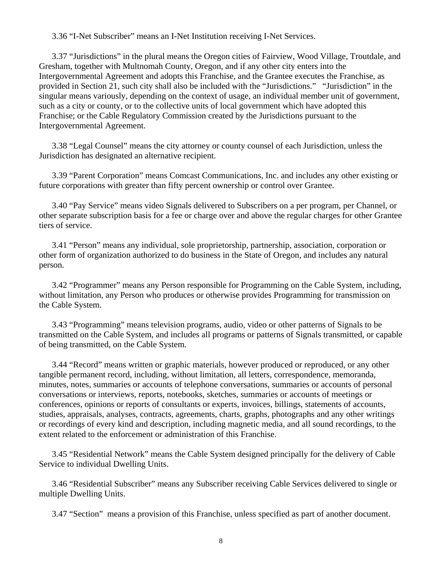3.36 "I-Net Subscriber" means an I-Net Institution receiving I-Net Services.

<span id="page-13-0"></span>3.37 "Jurisdictions" in the plural means the Oregon cities of Fairview, Wood Village, Troutdale, and Gresham, together with Multnomah County, Oregon, and if any other city enters into the Intergovernmental Agreement and adopts this Franchise, and the Grantee executes the Franchise, as provided in Section 21, such city shall also be included with the "Jurisdictions." "Jurisdiction" in the singular means variously, depending on the context of usage, an individual member unit of government, such as a city or county, or to the collective units of local government which have adopted this Franchise; or the Cable Regulatory Commission created by the Jurisdictions pursuant to the Intergovernmental Agreement.

3.38 "Legal Counsel" means the city attorney or county counsel of each Jurisdiction, unless the Jurisdiction has designated an alternative recipient.

<span id="page-13-1"></span>3.39 "Parent Corporation" means Comcast Communications, Inc. and includes any other existing or future corporations with greater than fifty percent ownership or control over Grantee.

<span id="page-13-2"></span>3.40 "Pay Service" means video Signals delivered to Subscribers on a per program, per Channel, or other separate subscription basis for a fee or charge over and above the regular charges for other Grantee tiers of service.

<span id="page-13-3"></span>3.41 "Person" means any individual, sole proprietorship, partnership, association, corporation or other form of organization authorized to do business in the State of Oregon, and includes any natural person.

<span id="page-13-4"></span>3.42 "Programmer" means any Person responsible for Programming on the Cable System, including, without limitation, any Person who produces or otherwise provides Programming for transmission on the Cable System.

<span id="page-13-5"></span>3.43 "Programming" means television programs, audio, video or other patterns of Signals to be transmitted on the Cable System, and includes all programs or patterns of Signals transmitted, or capable of being transmitted, on the Cable System.

<span id="page-13-6"></span>3.44 "Record" means written or graphic materials, however produced or reproduced, or any other tangible permanent record, including, without limitation, all letters, correspondence, memoranda, minutes, notes, summaries or accounts of telephone conversations, summaries or accounts of personal conversations or interviews, reports, notebooks, sketches, summaries or accounts of meetings or conferences, opinions or reports of consultants or experts, invoices, billings, statements of accounts, studies, appraisals, analyses, contracts, agreements, charts, graphs, photographs and any other writings or recordings of every kind and description, including magnetic media, and all sound recordings, to the extent related to the enforcement or administration of this Franchise.

<span id="page-13-7"></span>3.45 "Residential Network" means the Cable System designed principally for the delivery of Cable Service to individual Dwelling Units.

<span id="page-13-9"></span><span id="page-13-8"></span>3.46 "Residential Subscriber" means any Subscriber receiving Cable Services delivered to single or multiple Dwelling Units.

3.47 "Section" means a provision of this Franchise, unless specified as part of another document.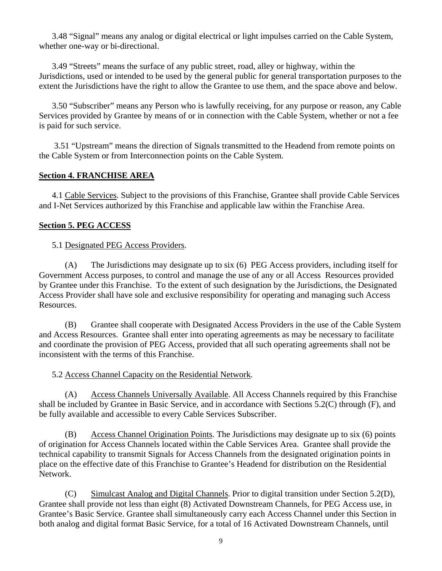<span id="page-14-0"></span>3.48 "Signal" means any analog or digital electrical or light impulses carried on the Cable System, whether one-way or bi-directional.

<span id="page-14-1"></span>3.49 "Streets" means the surface of any public street, road, alley or highway, within the Jurisdictions, used or intended to be used by the general public for general transportation purposes to the extent the Jurisdictions have the right to allow the Grantee to use them, and the space above and below.

<span id="page-14-2"></span>3.50 "Subscriber" means any Person who is lawfully receiving, for any purpose or reason, any Cable Services provided by Grantee by means of or in connection with the Cable System, whether or not a fee is paid for such service.

<span id="page-14-3"></span> 3.51 "Upstream" means the direction of Signals transmitted to the Headend from remote points on the Cable System or from Interconnection points on the Cable System.

### <span id="page-14-4"></span>**Section 4. FRANCHISE AREA**

<span id="page-14-5"></span>4.1 Cable Services. Subject to the provisions of this Franchise, Grantee shall provide Cable Services and I-Net Services authorized by this Franchise and applicable law within the Franchise Area.

#### <span id="page-14-7"></span><span id="page-14-6"></span>**Section 5. PEG ACCESS**

#### 5.1 Designated PEG Access Providers.

(A) The Jurisdictions may designate up to six (6) PEG Access providers, including itself for Government Access purposes, to control and manage the use of any or all Access Resources provided by Grantee under this Franchise. To the extent of such designation by the Jurisdictions, the Designated Access Provider shall have sole and exclusive responsibility for operating and managing such Access Resources.

(B) Grantee shall cooperate with Designated Access Providers in the use of the Cable System and Access Resources. Grantee shall enter into operating agreements as may be necessary to facilitate and coordinate the provision of PEG Access, provided that all such operating agreements shall not be inconsistent with the terms of this Franchise.

5.2 Access Channel Capacity on the Residential Network.

<span id="page-14-8"></span>(A) Access Channels Universally Available. All Access Channels required by this Franchise shall be included by Grantee in Basic Service, and in accordance with Sections 5.2(C) through (F), and be fully available and accessible to every Cable Services Subscriber.

(B) Access Channel Origination Points. The Jurisdictions may designate up to six (6) points of origination for Access Channels located within the Cable Services Area. Grantee shall provide the technical capability to transmit Signals for Access Channels from the designated origination points in place on the effective date of this Franchise to Grantee's Headend for distribution on the Residential Network.

 (C) Simulcast Analog and Digital Channels. Prior to digital transition under Section 5.2(D), Grantee shall provide not less than eight (8) Activated Downstream Channels, for PEG Access use, in Grantee's Basic Service. Grantee shall simultaneously carry each Access Channel under this Section in both analog and digital format Basic Service, for a total of 16 Activated Downstream Channels, until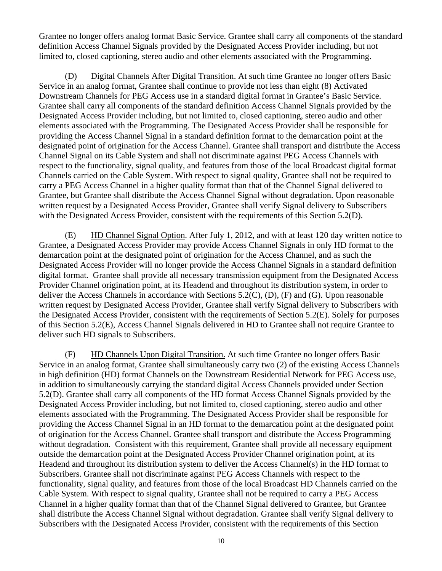Grantee no longer offers analog format Basic Service. Grantee shall carry all components of the standard definition Access Channel Signals provided by the Designated Access Provider including, but not limited to, closed captioning, stereo audio and other elements associated with the Programming.

 (D) Digital Channels After Digital Transition. At such time Grantee no longer offers Basic Service in an analog format, Grantee shall continue to provide not less than eight (8) Activated Downstream Channels for PEG Access use in a standard digital format in Grantee's Basic Service. Grantee shall carry all components of the standard definition Access Channel Signals provided by the Designated Access Provider including, but not limited to, closed captioning, stereo audio and other elements associated with the Programming. The Designated Access Provider shall be responsible for providing the Access Channel Signal in a standard definition format to the demarcation point at the designated point of origination for the Access Channel. Grantee shall transport and distribute the Access Channel Signal on its Cable System and shall not discriminate against PEG Access Channels with respect to the functionality, signal quality, and features from those of the local Broadcast digital format Channels carried on the Cable System. With respect to signal quality, Grantee shall not be required to carry a PEG Access Channel in a higher quality format than that of the Channel Signal delivered to Grantee, but Grantee shall distribute the Access Channel Signal without degradation. Upon reasonable written request by a Designated Access Provider, Grantee shall verify Signal delivery to Subscribers with the Designated Access Provider, consistent with the requirements of this Section 5.2(D).

 (E) HD Channel Signal Option. After July 1, 2012, and with at least 120 day written notice to Grantee, a Designated Access Provider may provide Access Channel Signals in only HD format to the demarcation point at the designated point of origination for the Access Channel, and as such the Designated Access Provider will no longer provide the Access Channel Signals in a standard definition digital format. Grantee shall provide all necessary transmission equipment from the Designated Access Provider Channel origination point, at its Headend and throughout its distribution system, in order to deliver the Access Channels in accordance with Sections 5.2(C), (D), (F) and (G). Upon reasonable written request by Designated Access Provider, Grantee shall verify Signal delivery to Subscribers with the Designated Access Provider, consistent with the requirements of Section 5.2(E). Solely for purposes of this Section 5.2(E), Access Channel Signals delivered in HD to Grantee shall not require Grantee to deliver such HD signals to Subscribers.

 (F) HD Channels Upon Digital Transition. At such time Grantee no longer offers Basic Service in an analog format, Grantee shall simultaneously carry two (2) of the existing Access Channels in high definition (HD) format Channels on the Downstream Residential Network for PEG Access use, in addition to simultaneously carrying the standard digital Access Channels provided under Section 5.2(D). Grantee shall carry all components of the HD format Access Channel Signals provided by the Designated Access Provider including, but not limited to, closed captioning, stereo audio and other elements associated with the Programming. The Designated Access Provider shall be responsible for providing the Access Channel Signal in an HD format to the demarcation point at the designated point of origination for the Access Channel. Grantee shall transport and distribute the Access Programming without degradation. Consistent with this requirement, Grantee shall provide all necessary equipment outside the demarcation point at the Designated Access Provider Channel origination point, at its Headend and throughout its distribution system to deliver the Access Channel(s) in the HD format to Subscribers. Grantee shall not discriminate against PEG Access Channels with respect to the functionality, signal quality, and features from those of the local Broadcast HD Channels carried on the Cable System. With respect to signal quality, Grantee shall not be required to carry a PEG Access Channel in a higher quality format than that of the Channel Signal delivered to Grantee, but Grantee shall distribute the Access Channel Signal without degradation. Grantee shall verify Signal delivery to Subscribers with the Designated Access Provider, consistent with the requirements of this Section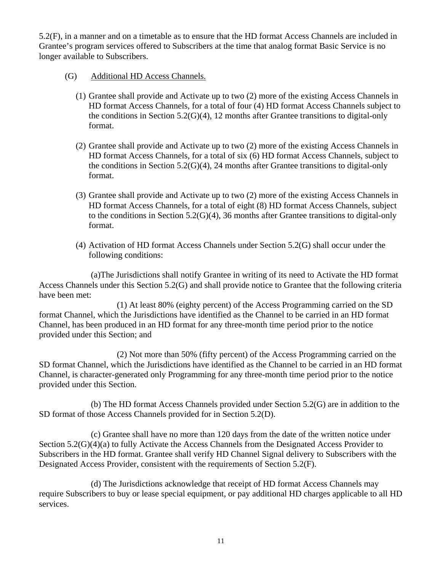5.2(F), in a manner and on a timetable as to ensure that the HD format Access Channels are included in Grantee's program services offered to Subscribers at the time that analog format Basic Service is no longer available to Subscribers.

- (G) Additional HD Access Channels.
	- (1) Grantee shall provide and Activate up to two (2) more of the existing Access Channels in HD format Access Channels, for a total of four (4) HD format Access Channels subject to the conditions in Section 5.2(G)(4), 12 months after Grantee transitions to digital-only format.
	- (2) Grantee shall provide and Activate up to two (2) more of the existing Access Channels in HD format Access Channels, for a total of six (6) HD format Access Channels, subject to the conditions in Section 5.2(G)(4), 24 months after Grantee transitions to digital-only format.
	- (3) Grantee shall provide and Activate up to two (2) more of the existing Access Channels in HD format Access Channels, for a total of eight (8) HD format Access Channels, subject to the conditions in Section 5.2(G)(4), 36 months after Grantee transitions to digital-only format.
	- (4) Activation of HD format Access Channels under Section 5.2(G) shall occur under the following conditions:

 (a)The Jurisdictions shall notify Grantee in writing of its need to Activate the HD format Access Channels under this Section 5.2(G) and shall provide notice to Grantee that the following criteria have been met:

 (1) At least 80% (eighty percent) of the Access Programming carried on the SD format Channel, which the Jurisdictions have identified as the Channel to be carried in an HD format Channel, has been produced in an HD format for any three-month time period prior to the notice provided under this Section; and

 (2) Not more than 50% (fifty percent) of the Access Programming carried on the SD format Channel, which the Jurisdictions have identified as the Channel to be carried in an HD format Channel, is character-generated only Programming for any three-month time period prior to the notice provided under this Section.

 (b) The HD format Access Channels provided under Section 5.2(G) are in addition to the SD format of those Access Channels provided for in Section 5.2(D).

 (c) Grantee shall have no more than 120 days from the date of the written notice under Section 5.2(G)(4)(a) to fully Activate the Access Channels from the Designated Access Provider to Subscribers in the HD format. Grantee shall verify HD Channel Signal delivery to Subscribers with the Designated Access Provider, consistent with the requirements of Section 5.2(F).

 (d) The Jurisdictions acknowledge that receipt of HD format Access Channels may require Subscribers to buy or lease special equipment, or pay additional HD charges applicable to all HD services.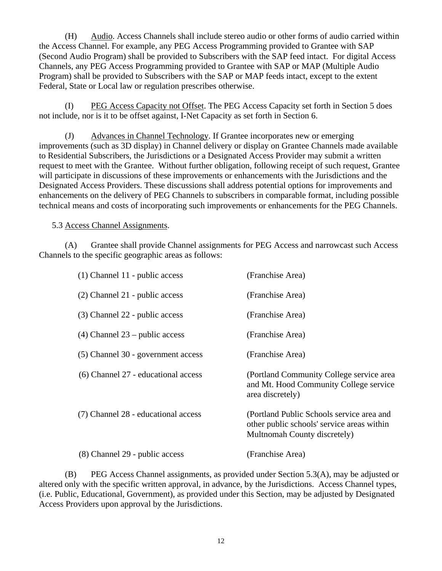(H) Audio. Access Channels shall include stereo audio or other forms of audio carried within the Access Channel. For example, any PEG Access Programming provided to Grantee with SAP (Second Audio Program) shall be provided to Subscribers with the SAP feed intact. For digital Access Channels, any PEG Access Programming provided to Grantee with SAP or MAP (Multiple Audio Program) shall be provided to Subscribers with the SAP or MAP feeds intact, except to the extent Federal, State or Local law or regulation prescribes otherwise.

(I) PEG Access Capacity not Offset. The PEG Access Capacity set forth in Section 5 does not include, nor is it to be offset against, I-Net Capacity as set forth in Section 6.

(J) Advances in Channel Technology. If Grantee incorporates new or emerging improvements (such as 3D display) in Channel delivery or display on Grantee Channels made available to Residential Subscribers, the Jurisdictions or a Designated Access Provider may submit a written request to meet with the Grantee. Without further obligation, following receipt of such request, Grantee will participate in discussions of these improvements or enhancements with the Jurisdictions and the Designated Access Providers. These discussions shall address potential options for improvements and enhancements on the delivery of PEG Channels to subscribers in comparable format, including possible technical means and costs of incorporating such improvements or enhancements for the PEG Channels.

5.3 Access Channel Assignments.

<span id="page-17-0"></span>(A) Grantee shall provide Channel assignments for PEG Access and narrowcast such Access Channels to the specific geographic areas as follows:

| $(1)$ Channel 11 - public access    | (Franchise Area)                                                                                                        |
|-------------------------------------|-------------------------------------------------------------------------------------------------------------------------|
| (2) Channel 21 - public access      | (Franchise Area)                                                                                                        |
| (3) Channel 22 - public access      | (Franchise Area)                                                                                                        |
| $(4)$ Channel 23 – public access    | (Franchise Area)                                                                                                        |
| (5) Channel 30 - government access  | (Franchise Area)                                                                                                        |
| (6) Channel 27 - educational access | (Portland Community College service area<br>and Mt. Hood Community College service<br>area discretely)                  |
| (7) Channel 28 - educational access | (Portland Public Schools service area and<br>other public schools' service areas within<br>Multnomah County discretely) |
| (8) Channel 29 - public access      | (Franchise Area)                                                                                                        |

 (B) PEG Access Channel assignments, as provided under Section 5.3(A), may be adjusted or altered only with the specific written approval, in advance, by the Jurisdictions. Access Channel types, (i.e. Public, Educational, Government), as provided under this Section, may be adjusted by Designated Access Providers upon approval by the Jurisdictions.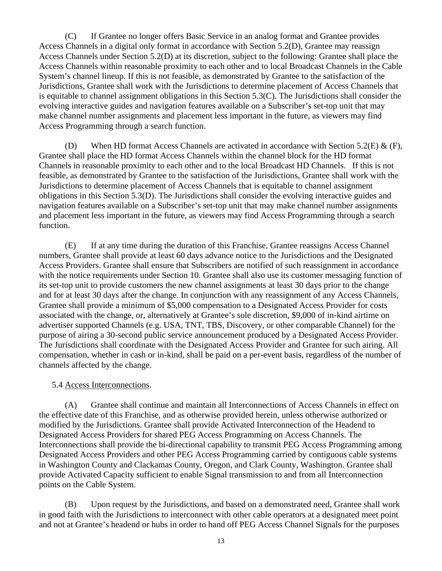(C) If Grantee no longer offers Basic Service in an analog format and Grantee provides Access Channels in a digital only format in accordance with Section 5.2(D), Grantee may reassign Access Channels under Section 5.2(D) at its discretion, subject to the following: Grantee shall place the Access Channels within reasonable proximity to each other and to local Broadcast Channels in the Cable System's channel lineup. If this is not feasible, as demonstrated by Grantee to the satisfaction of the Jurisdictions, Grantee shall work with the Jurisdictions to determine placement of Access Channels that is equitable to channel assignment obligations in this Section 5.3(C). The Jurisdictions shall consider the evolving interactive guides and navigation features available on a Subscriber's set-top unit that may make channel number assignments and placement less important in the future, as viewers may find Access Programming through a search function.

(D) When HD format Access Channels are activated in accordance with Section 5.2(E) & (F), Grantee shall place the HD format Access Channels within the channel block for the HD format Channels in reasonable proximity to each other and to the local Broadcast HD Channels. If this is not feasible, as demonstrated by Grantee to the satisfaction of the Jurisdictions, Grantee shall work with the Jurisdictions to determine placement of Access Channels that is equitable to channel assignment obligations in this Section 5.3(D). The Jurisdictions shall consider the evolving interactive guides and navigation features available on a Subscriber's set-top unit that may make channel number assignments and placement less important in the future, as viewers may find Access Programming through a search function.

(E) If at any time during the duration of this Franchise, Grantee reassigns Access Channel numbers, Grantee shall provide at least 60 days advance notice to the Jurisdictions and the Designated Access Providers. Grantee shall ensure that Subscribers are notified of such reassignment in accordance with the notice requirements under Section 10. Grantee shall also use its customer messaging function of its set-top unit to provide customers the new channel assignments at least 30 days prior to the change and for at least 30 days after the change. In conjunction with any reassignment of any Access Channels, Grantee shall provide a minimum of \$5,000 compensation to a Designated Access Provider for costs associated with the change, or, alternatively at Grantee's sole discretion, \$9,000 of in-kind airtime on advertiser supported Channels (e.g. USA, TNT, TBS, Discovery, or other comparable Channel) for the purpose of airing a 30-second public service announcement produced by a Designated Access Provider. The Jurisdictions shall coordinate with the Designated Access Provider and Grantee for such airing. All compensation, whether in cash or in-kind, shall be paid on a per-event basis, regardless of the number of channels affected by the change.

# 5.4 Access Interconnections.

<span id="page-18-0"></span>(A) Grantee shall continue and maintain all Interconnections of Access Channels in effect on the effective date of this Franchise, and as otherwise provided herein, unless otherwise authorized or modified by the Jurisdictions. Grantee shall provide Activated Interconnection of the Headend to Designated Access Providers for shared PEG Access Programming on Access Channels. The Interconnections shall provide the bi-directional capability to transmit PEG Access Programming among Designated Access Providers and other PEG Access Programming carried by contiguous cable systems in Washington County and Clackamas County, Oregon, and Clark County, Washington. Grantee shall provide Activated Capacity sufficient to enable Signal transmission to and from all Interconnection points on the Cable System.

(B) Upon request by the Jurisdictions, and based on a demonstrated need, Grantee shall work in good faith with the Jurisdictions to interconnect with other cable operators at a designated meet point and not at Grantee's headend or hubs in order to hand off PEG Access Channel Signals for the purposes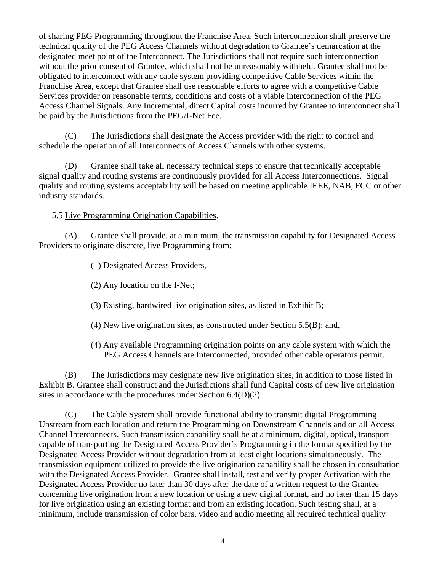of sharing PEG Programming throughout the Franchise Area. Such interconnection shall preserve the technical quality of the PEG Access Channels without degradation to Grantee's demarcation at the designated meet point of the Interconnect. The Jurisdictions shall not require such interconnection without the prior consent of Grantee, which shall not be unreasonably withheld. Grantee shall not be obligated to interconnect with any cable system providing competitive Cable Services within the Franchise Area, except that Grantee shall use reasonable efforts to agree with a competitive Cable Services provider on reasonable terms, conditions and costs of a viable interconnection of the PEG Access Channel Signals. Any Incremental, direct Capital costs incurred by Grantee to interconnect shall be paid by the Jurisdictions from the PEG/I-Net Fee.

(C) The Jurisdictions shall designate the Access provider with the right to control and schedule the operation of all Interconnects of Access Channels with other systems.

(D) Grantee shall take all necessary technical steps to ensure that technically acceptable signal quality and routing systems are continuously provided for all Access Interconnections. Signal quality and routing systems acceptability will be based on meeting applicable IEEE, NAB, FCC or other industry standards.

5.5 Live Programming Origination Capabilities.

<span id="page-19-0"></span>(A) Grantee shall provide, at a minimum, the transmission capability for Designated Access Providers to originate discrete, live Programming from:

(1) Designated Access Providers,

(2) Any location on the I-Net;

(3) Existing, hardwired live origination sites, as listed in Exhibit B;

- (4) New live origination sites, as constructed under Section 5.5(B); and,
- (4) Any available Programming origination points on any cable system with which the PEG Access Channels are Interconnected, provided other cable operators permit.

(B) The Jurisdictions may designate new live origination sites, in addition to those listed in Exhibit B. Grantee shall construct and the Jurisdictions shall fund Capital costs of new live origination sites in accordance with the procedures under Section 6.4(D)(2).

(C) The Cable System shall provide functional ability to transmit digital Programming Upstream from each location and return the Programming on Downstream Channels and on all Access Channel Interconnects. Such transmission capability shall be at a minimum, digital, optical, transport capable of transporting the Designated Access Provider's Programming in the format specified by the Designated Access Provider without degradation from at least eight locations simultaneously. The transmission equipment utilized to provide the live origination capability shall be chosen in consultation with the Designated Access Provider. Grantee shall install, test and verify proper Activation with the Designated Access Provider no later than 30 days after the date of a written request to the Grantee concerning live origination from a new location or using a new digital format, and no later than 15 days for live origination using an existing format and from an existing location. Such testing shall, at a minimum, include transmission of color bars, video and audio meeting all required technical quality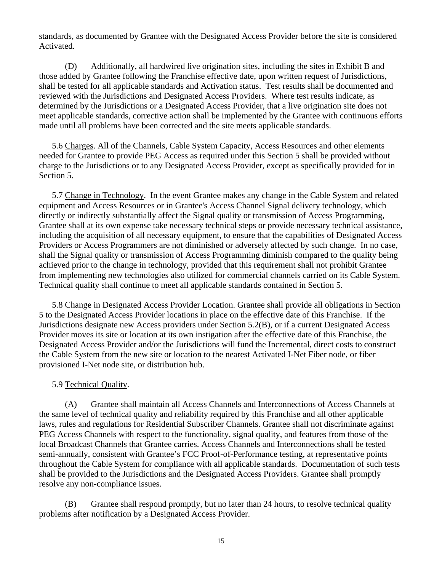standards, as documented by Grantee with the Designated Access Provider before the site is considered Activated.

(D) Additionally, all hardwired live origination sites, including the sites in Exhibit B and those added by Grantee following the Franchise effective date, upon written request of Jurisdictions, shall be tested for all applicable standards and Activation status. Test results shall be documented and reviewed with the Jurisdictions and Designated Access Providers. Where test results indicate, as determined by the Jurisdictions or a Designated Access Provider, that a live origination site does not meet applicable standards, corrective action shall be implemented by the Grantee with continuous efforts made until all problems have been corrected and the site meets applicable standards.

<span id="page-20-0"></span>5.6 Charges. All of the Channels, Cable System Capacity, Access Resources and other elements needed for Grantee to provide PEG Access as required under this Section 5 shall be provided without charge to the Jurisdictions or to any Designated Access Provider, except as specifically provided for in Section 5.

<span id="page-20-1"></span>5.7 Change in Technology. In the event Grantee makes any change in the Cable System and related equipment and Access Resources or in Grantee's Access Channel Signal delivery technology, which directly or indirectly substantially affect the Signal quality or transmission of Access Programming, Grantee shall at its own expense take necessary technical steps or provide necessary technical assistance, including the acquisition of all necessary equipment, to ensure that the capabilities of Designated Access Providers or Access Programmers are not diminished or adversely affected by such change. In no case, shall the Signal quality or transmission of Access Programming diminish compared to the quality being achieved prior to the change in technology, provided that this requirement shall not prohibit Grantee from implementing new technologies also utilized for commercial channels carried on its Cable System. Technical quality shall continue to meet all applicable standards contained in Section 5.

<span id="page-20-2"></span>5.8 Change in Designated Access Provider Location. Grantee shall provide all obligations in Section 5 to the Designated Access Provider locations in place on the effective date of this Franchise. If the Jurisdictions designate new Access providers under Section 5.2(B), or if a current Designated Access Provider moves its site or location at its own instigation after the effective date of this Franchise, the Designated Access Provider and/or the Jurisdictions will fund the Incremental, direct costs to construct the Cable System from the new site or location to the nearest Activated I-Net Fiber node, or fiber provisioned I-Net node site, or distribution hub.

# 5.9 Technical Quality.

<span id="page-20-3"></span>(A) Grantee shall maintain all Access Channels and Interconnections of Access Channels at the same level of technical quality and reliability required by this Franchise and all other applicable laws, rules and regulations for Residential Subscriber Channels. Grantee shall not discriminate against PEG Access Channels with respect to the functionality, signal quality, and features from those of the local Broadcast Channels that Grantee carries. Access Channels and Interconnections shall be tested semi-annually, consistent with Grantee's FCC Proof-of-Performance testing, at representative points throughout the Cable System for compliance with all applicable standards. Documentation of such tests shall be provided to the Jurisdictions and the Designated Access Providers. Grantee shall promptly resolve any non-compliance issues.

(B) Grantee shall respond promptly, but no later than 24 hours, to resolve technical quality problems after notification by a Designated Access Provider.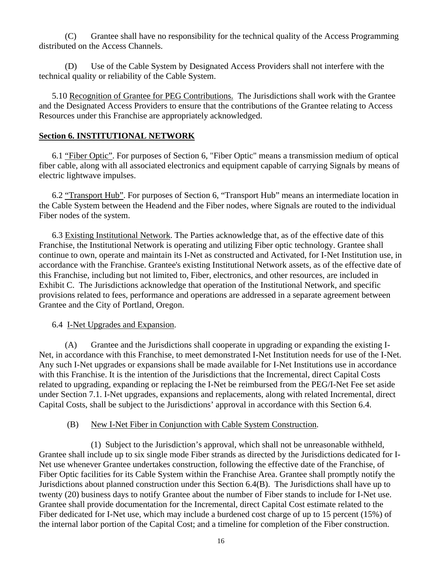(C) Grantee shall have no responsibility for the technical quality of the Access Programming distributed on the Access Channels.

(D) Use of the Cable System by Designated Access Providers shall not interfere with the technical quality or reliability of the Cable System.

<span id="page-21-0"></span>5.10 Recognition of Grantee for PEG Contributions. The Jurisdictions shall work with the Grantee and the Designated Access Providers to ensure that the contributions of the Grantee relating to Access Resources under this Franchise are appropriately acknowledged.

### <span id="page-21-1"></span>**Section 6. INSTITUTIONAL NETWORK**

6.1 "Fiber Optic". For purposes of Section 6, "Fiber Optic" means a transmission medium of optical fiber cable, along with all associated electronics and equipment capable of carrying Signals by means of electric lightwave impulses.

6.2 "Transport Hub". For purposes of Section 6, "Transport Hub" means an intermediate location in the Cable System between the Headend and the Fiber nodes, where Signals are routed to the individual Fiber nodes of the system.

<span id="page-21-2"></span>6.3 Existing Institutional Network. The Parties acknowledge that, as of the effective date of this Franchise, the Institutional Network is operating and utilizing Fiber optic technology. Grantee shall continue to own, operate and maintain its I-Net as constructed and Activated, for I-Net Institution use, in accordance with the Franchise. Grantee's existing Institutional Network assets, as of the effective date of this Franchise, including but not limited to, Fiber, electronics, and other resources, are included in Exhibit C. The Jurisdictions acknowledge that operation of the Institutional Network, and specific provisions related to fees, performance and operations are addressed in a separate agreement between Grantee and the City of Portland, Oregon.

### 6.4 I-Net Upgrades and Expansion.

<span id="page-21-3"></span>(A) Grantee and the Jurisdictions shall cooperate in upgrading or expanding the existing I-Net, in accordance with this Franchise, to meet demonstrated I-Net Institution needs for use of the I-Net. Any such I-Net upgrades or expansions shall be made available for I-Net Institutions use in accordance with this Franchise. It is the intention of the Jurisdictions that the Incremental, direct Capital Costs related to upgrading, expanding or replacing the I-Net be reimbursed from the PEG/I-Net Fee set aside under Section 7.1. I-Net upgrades, expansions and replacements, along with related Incremental, direct Capital Costs, shall be subject to the Jurisdictions' approval in accordance with this Section 6.4.

### (B) New I-Net Fiber in Conjunction with Cable System Construction.

(1) Subject to the Jurisdiction's approval, which shall not be unreasonable withheld, Grantee shall include up to six single mode Fiber strands as directed by the Jurisdictions dedicated for I-Net use whenever Grantee undertakes construction, following the effective date of the Franchise, of Fiber Optic facilities for its Cable System within the Franchise Area. Grantee shall promptly notify the Jurisdictions about planned construction under this Section 6.4(B). The Jurisdictions shall have up to twenty (20) business days to notify Grantee about the number of Fiber stands to include for I-Net use. Grantee shall provide documentation for the Incremental, direct Capital Cost estimate related to the Fiber dedicated for I-Net use, which may include a burdened cost charge of up to 15 percent (15%) of the internal labor portion of the Capital Cost; and a timeline for completion of the Fiber construction.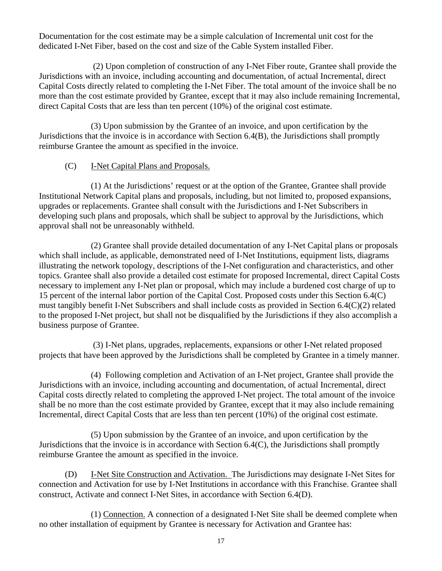Documentation for the cost estimate may be a simple calculation of Incremental unit cost for the dedicated I-Net Fiber, based on the cost and size of the Cable System installed Fiber.

 (2) Upon completion of construction of any I-Net Fiber route, Grantee shall provide the Jurisdictions with an invoice, including accounting and documentation, of actual Incremental, direct Capital Costs directly related to completing the I-Net Fiber. The total amount of the invoice shall be no more than the cost estimate provided by Grantee, except that it may also include remaining Incremental, direct Capital Costs that are less than ten percent (10%) of the original cost estimate.

(3) Upon submission by the Grantee of an invoice, and upon certification by the Jurisdictions that the invoice is in accordance with Section 6.4(B), the Jurisdictions shall promptly reimburse Grantee the amount as specified in the invoice.

# (C) I-Net Capital Plans and Proposals.

 (1) At the Jurisdictions' request or at the option of the Grantee, Grantee shall provide Institutional Network Capital plans and proposals, including, but not limited to, proposed expansions, upgrades or replacements. Grantee shall consult with the Jurisdictions and I-Net Subscribers in developing such plans and proposals, which shall be subject to approval by the Jurisdictions, which approval shall not be unreasonably withheld.

(2) Grantee shall provide detailed documentation of any I-Net Capital plans or proposals which shall include, as applicable, demonstrated need of I-Net Institutions, equipment lists, diagrams illustrating the network topology, descriptions of the I-Net configuration and characteristics, and other topics. Grantee shall also provide a detailed cost estimate for proposed Incremental, direct Capital Costs necessary to implement any I-Net plan or proposal, which may include a burdened cost charge of up to 15 percent of the internal labor portion of the Capital Cost. Proposed costs under this Section 6.4(C) must tangibly benefit I-Net Subscribers and shall include costs as provided in Section 6.4(C)(2) related to the proposed I-Net project, but shall not be disqualified by the Jurisdictions if they also accomplish a business purpose of Grantee.

 (3) I-Net plans, upgrades, replacements, expansions or other I-Net related proposed projects that have been approved by the Jurisdictions shall be completed by Grantee in a timely manner.

(4) Following completion and Activation of an I-Net project, Grantee shall provide the Jurisdictions with an invoice, including accounting and documentation, of actual Incremental, direct Capital costs directly related to completing the approved I-Net project. The total amount of the invoice shall be no more than the cost estimate provided by Grantee, except that it may also include remaining Incremental, direct Capital Costs that are less than ten percent (10%) of the original cost estimate.

 (5) Upon submission by the Grantee of an invoice, and upon certification by the Jurisdictions that the invoice is in accordance with Section 6.4(C), the Jurisdictions shall promptly reimburse Grantee the amount as specified in the invoice.

(D) I-Net Site Construction and Activation. The Jurisdictions may designate I-Net Sites for connection and Activation for use by I-Net Institutions in accordance with this Franchise. Grantee shall construct, Activate and connect I-Net Sites, in accordance with Section 6.4(D).

(1) Connection. A connection of a designated I-Net Site shall be deemed complete when no other installation of equipment by Grantee is necessary for Activation and Grantee has: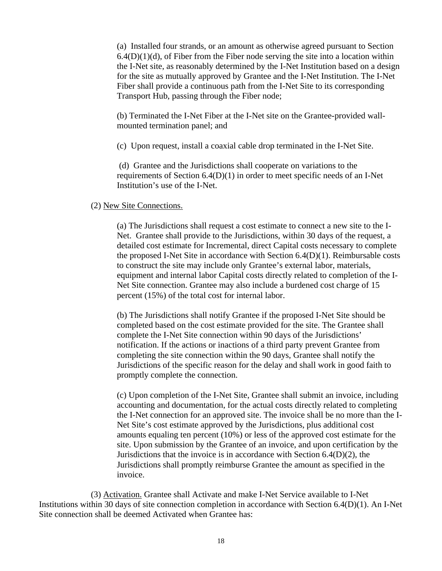(a) Installed four strands, or an amount as otherwise agreed pursuant to Section  $6.4(D)(1)(d)$ , of Fiber from the Fiber node serving the site into a location within the I-Net site, as reasonably determined by the I-Net Institution based on a design for the site as mutually approved by Grantee and the I-Net Institution. The I-Net Fiber shall provide a continuous path from the I-Net Site to its corresponding Transport Hub, passing through the Fiber node;

(b) Terminated the I-Net Fiber at the I-Net site on the Grantee-provided wallmounted termination panel; and

(c) Upon request, install a coaxial cable drop terminated in the I-Net Site.

 (d) Grantee and the Jurisdictions shall cooperate on variations to the requirements of Section 6.4(D)(1) in order to meet specific needs of an I-Net Institution's use of the I-Net.

#### (2) New Site Connections.

 (a) The Jurisdictions shall request a cost estimate to connect a new site to the I-Net. Grantee shall provide to the Jurisdictions, within 30 days of the request, a detailed cost estimate for Incremental, direct Capital costs necessary to complete the proposed I-Net Site in accordance with Section 6.4(D)(1). Reimbursable costs to construct the site may include only Grantee's external labor, materials, equipment and internal labor Capital costs directly related to completion of the I-Net Site connection. Grantee may also include a burdened cost charge of 15 percent (15%) of the total cost for internal labor.

(b) The Jurisdictions shall notify Grantee if the proposed I-Net Site should be completed based on the cost estimate provided for the site. The Grantee shall complete the I-Net Site connection within 90 days of the Jurisdictions' notification. If the actions or inactions of a third party prevent Grantee from completing the site connection within the 90 days, Grantee shall notify the Jurisdictions of the specific reason for the delay and shall work in good faith to promptly complete the connection.

 (c) Upon completion of the I-Net Site, Grantee shall submit an invoice, including accounting and documentation, for the actual costs directly related to completing the I-Net connection for an approved site. The invoice shall be no more than the I-Net Site's cost estimate approved by the Jurisdictions, plus additional cost amounts equaling ten percent (10%) or less of the approved cost estimate for the site. Upon submission by the Grantee of an invoice, and upon certification by the Jurisdictions that the invoice is in accordance with Section 6.4(D)(2), the Jurisdictions shall promptly reimburse Grantee the amount as specified in the invoice.

(3) Activation. Grantee shall Activate and make I-Net Service available to I-Net Institutions within 30 days of site connection completion in accordance with Section 6.4(D)(1). An I-Net Site connection shall be deemed Activated when Grantee has: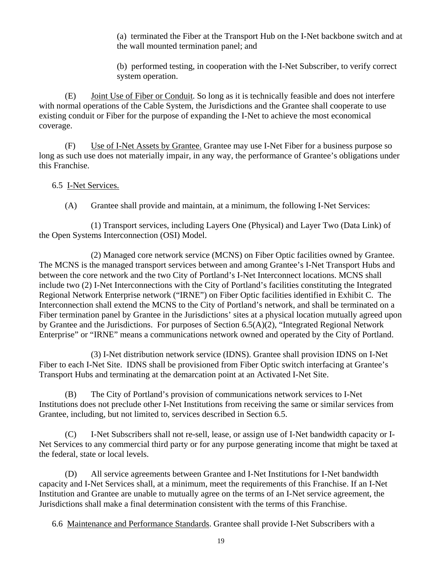(a) terminated the Fiber at the Transport Hub on the I-Net backbone switch and at the wall mounted termination panel; and

(b) performed testing, in cooperation with the I-Net Subscriber, to verify correct system operation.

(E) Joint Use of Fiber or Conduit. So long as it is technically feasible and does not interfere with normal operations of the Cable System, the Jurisdictions and the Grantee shall cooperate to use existing conduit or Fiber for the purpose of expanding the I-Net to achieve the most economical coverage.

(F) Use of I-Net Assets by Grantee. Grantee may use I-Net Fiber for a business purpose so long as such use does not materially impair, in any way, the performance of Grantee's obligations under this Franchise.

### <span id="page-24-0"></span>6.5 I-Net Services.

(A) Grantee shall provide and maintain, at a minimum, the following I-Net Services:

(1) Transport services, including Layers One (Physical) and Layer Two (Data Link) of the Open Systems Interconnection (OSI) Model.

(2) Managed core network service (MCNS) on Fiber Optic facilities owned by Grantee. The MCNS is the managed transport services between and among Grantee's I-Net Transport Hubs and between the core network and the two City of Portland's I-Net Interconnect locations. MCNS shall include two (2) I-Net Interconnections with the City of Portland's facilities constituting the Integrated Regional Network Enterprise network ("IRNE") on Fiber Optic facilities identified in Exhibit C. The Interconnection shall extend the MCNS to the City of Portland's network, and shall be terminated on a Fiber termination panel by Grantee in the Jurisdictions' sites at a physical location mutually agreed upon by Grantee and the Jurisdictions. For purposes of Section 6.5(A)(2), "Integrated Regional Network Enterprise" or "IRNE" means a communications network owned and operated by the City of Portland.

(3) I-Net distribution network service (IDNS). Grantee shall provision IDNS on I-Net Fiber to each I-Net Site. IDNS shall be provisioned from Fiber Optic switch interfacing at Grantee's Transport Hubs and terminating at the demarcation point at an Activated I-Net Site.

(B) The City of Portland's provision of communications network services to I-Net Institutions does not preclude other I-Net Institutions from receiving the same or similar services from Grantee, including, but not limited to, services described in Section 6.5.

(C) I-Net Subscribers shall not re-sell, lease, or assign use of I-Net bandwidth capacity or I-Net Services to any commercial third party or for any purpose generating income that might be taxed at the federal, state or local levels.

(D) All service agreements between Grantee and I-Net Institutions for I-Net bandwidth capacity and I-Net Services shall, at a minimum, meet the requirements of this Franchise. If an I-Net Institution and Grantee are unable to mutually agree on the terms of an I-Net service agreement, the Jurisdictions shall make a final determination consistent with the terms of this Franchise.

<span id="page-24-1"></span>6.6 Maintenance and Performance Standards. Grantee shall provide I-Net Subscribers with a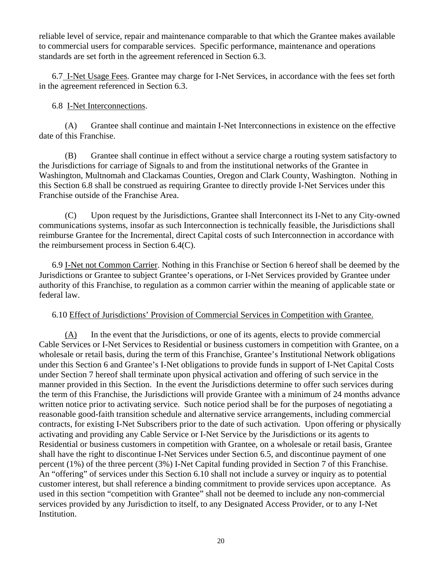reliable level of service, repair and maintenance comparable to that which the Grantee makes available to commercial users for comparable services. Specific performance, maintenance and operations standards are set forth in the agreement referenced in Section 6.3.

<span id="page-25-0"></span>6.7 I-Net Usage Fees. Grantee may charge for I-Net Services, in accordance with the fees set forth in the agreement referenced in Section 6.3.

### 6.8 I-Net Interconnections.

<span id="page-25-1"></span>(A) Grantee shall continue and maintain I-Net Interconnections in existence on the effective date of this Franchise.

(B) Grantee shall continue in effect without a service charge a routing system satisfactory to the Jurisdictions for carriage of Signals to and from the institutional networks of the Grantee in Washington, Multnomah and Clackamas Counties, Oregon and Clark County, Washington. Nothing in this Section 6.8 shall be construed as requiring Grantee to directly provide I-Net Services under this Franchise outside of the Franchise Area.

(C) Upon request by the Jurisdictions, Grantee shall Interconnect its I-Net to any City-owned communications systems, insofar as such Interconnection is technically feasible, the Jurisdictions shall reimburse Grantee for the Incremental, direct Capital costs of such Interconnection in accordance with the reimbursement process in Section 6.4(C).

<span id="page-25-2"></span>6.9 I-Net not Common Carrier. Nothing in this Franchise or Section 6 hereof shall be deemed by the Jurisdictions or Grantee to subject Grantee's operations, or I-Net Services provided by Grantee under authority of this Franchise, to regulation as a common carrier within the meaning of applicable state or federal law.

### 6.10 Effect of Jurisdictions' Provision of Commercial Services in Competition with Grantee.

<span id="page-25-3"></span>(A) In the event that the Jurisdictions, or one of its agents, elects to provide commercial Cable Services or I-Net Services to Residential or business customers in competition with Grantee, on a wholesale or retail basis, during the term of this Franchise, Grantee's Institutional Network obligations under this Section 6 and Grantee's I-Net obligations to provide funds in support of I-Net Capital Costs under Section 7 hereof shall terminate upon physical activation and offering of such service in the manner provided in this Section. In the event the Jurisdictions determine to offer such services during the term of this Franchise, the Jurisdictions will provide Grantee with a minimum of 24 months advance written notice prior to activating service. Such notice period shall be for the purposes of negotiating a reasonable good-faith transition schedule and alternative service arrangements, including commercial contracts, for existing I-Net Subscribers prior to the date of such activation. Upon offering or physically activating and providing any Cable Service or I-Net Service by the Jurisdictions or its agents to Residential or business customers in competition with Grantee, on a wholesale or retail basis, Grantee shall have the right to discontinue I-Net Services under Section 6.5, and discontinue payment of one percent (1%) of the three percent (3%) I-Net Capital funding provided in Section 7 of this Franchise. An "offering" of services under this Section 6.10 shall not include a survey or inquiry as to potential customer interest, but shall reference a binding commitment to provide services upon acceptance. As used in this section "competition with Grantee" shall not be deemed to include any non-commercial services provided by any Jurisdiction to itself, to any Designated Access Provider, or to any I-Net Institution.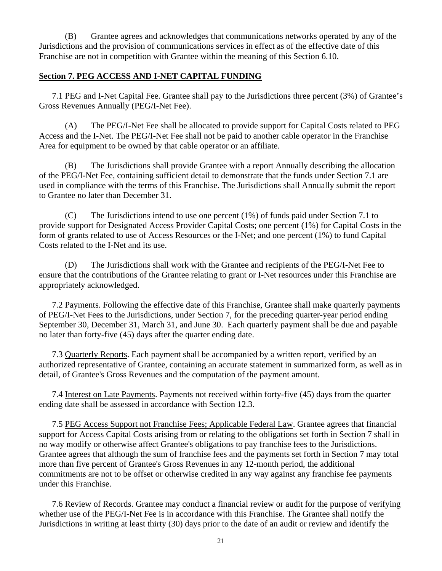(B) Grantee agrees and acknowledges that communications networks operated by any of the Jurisdictions and the provision of communications services in effect as of the effective date of this Franchise are not in competition with Grantee within the meaning of this Section 6.10.

### <span id="page-26-0"></span>**Section 7. PEG ACCESS AND I-NET CAPITAL FUNDING**

<span id="page-26-1"></span>7.1 PEG and I-Net Capital Fee. Grantee shall pay to the Jurisdictions three percent (3%) of Grantee's Gross Revenues Annually (PEG/I-Net Fee).

(A) The PEG/I-Net Fee shall be allocated to provide support for Capital Costs related to PEG Access and the I-Net. The PEG/I-Net Fee shall not be paid to another cable operator in the Franchise Area for equipment to be owned by that cable operator or an affiliate.

(B) The Jurisdictions shall provide Grantee with a report Annually describing the allocation of the PEG/I-Net Fee, containing sufficient detail to demonstrate that the funds under Section 7.1 are used in compliance with the terms of this Franchise. The Jurisdictions shall Annually submit the report to Grantee no later than December 31.

(C) The Jurisdictions intend to use one percent (1%) of funds paid under Section 7.1 to provide support for Designated Access Provider Capital Costs; one percent (1%) for Capital Costs in the form of grants related to use of Access Resources or the I-Net; and one percent (1%) to fund Capital Costs related to the I-Net and its use.

 (D) The Jurisdictions shall work with the Grantee and recipients of the PEG/I-Net Fee to ensure that the contributions of the Grantee relating to grant or I-Net resources under this Franchise are appropriately acknowledged.

<span id="page-26-2"></span>7.2 Payments. Following the effective date of this Franchise, Grantee shall make quarterly payments of PEG/I-Net Fees to the Jurisdictions, under Section 7, for the preceding quarter-year period ending September 30, December 31, March 31, and June 30. Each quarterly payment shall be due and payable no later than forty-five (45) days after the quarter ending date.

<span id="page-26-3"></span>7.3 Quarterly Reports. Each payment shall be accompanied by a written report, verified by an authorized representative of Grantee, containing an accurate statement in summarized form, as well as in detail, of Grantee's Gross Revenues and the computation of the payment amount.

<span id="page-26-4"></span>7.4 Interest on Late Payments. Payments not received within forty-five (45) days from the quarter ending date shall be assessed in accordance with Section 12.3.

<span id="page-26-5"></span>7.5 PEG Access Support not Franchise Fees; Applicable Federal Law. Grantee agrees that financial support for Access Capital Costs arising from or relating to the obligations set forth in Section 7 shall in no way modify or otherwise affect Grantee's obligations to pay franchise fees to the Jurisdictions. Grantee agrees that although the sum of franchise fees and the payments set forth in Section 7 may total more than five percent of Grantee's Gross Revenues in any 12-month period, the additional commitments are not to be offset or otherwise credited in any way against any franchise fee payments under this Franchise.

7.6 Review of Records. Grantee may conduct a financial review or audit for the purpose of verifying whether use of the PEG/I-Net Fee is in accordance with this Franchise. The Grantee shall notify the Jurisdictions in writing at least thirty (30) days prior to the date of an audit or review and identify the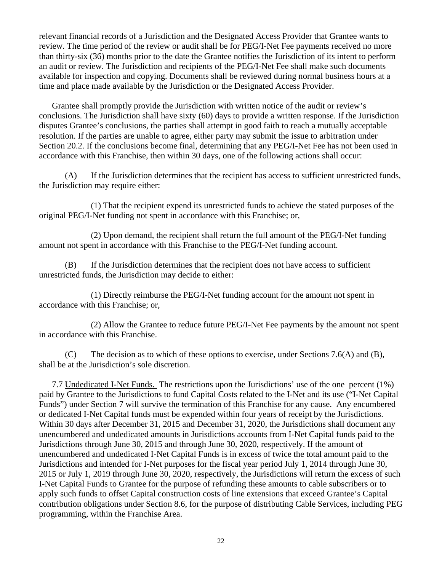relevant financial records of a Jurisdiction and the Designated Access Provider that Grantee wants to review. The time period of the review or audit shall be for PEG/I-Net Fee payments received no more than thirty-six (36) months prior to the date the Grantee notifies the Jurisdiction of its intent to perform an audit or review. The Jurisdiction and recipients of the PEG/I-Net Fee shall make such documents available for inspection and copying. Documents shall be reviewed during normal business hours at a time and place made available by the Jurisdiction or the Designated Access Provider.

Grantee shall promptly provide the Jurisdiction with written notice of the audit or review's conclusions. The Jurisdiction shall have sixty (60) days to provide a written response. If the Jurisdiction disputes Grantee's conclusions, the parties shall attempt in good faith to reach a mutually acceptable resolution. If the parties are unable to agree, either party may submit the issue to arbitration under Section 20.2. If the conclusions become final, determining that any PEG/I-Net Fee has not been used in accordance with this Franchise, then within 30 days, one of the following actions shall occur:

(A) If the Jurisdiction determines that the recipient has access to sufficient unrestricted funds, the Jurisdiction may require either:

(1) That the recipient expend its unrestricted funds to achieve the stated purposes of the original PEG/I-Net funding not spent in accordance with this Franchise; or,

(2) Upon demand, the recipient shall return the full amount of the PEG/I-Net funding amount not spent in accordance with this Franchise to the PEG/I-Net funding account.

(B) If the Jurisdiction determines that the recipient does not have access to sufficient unrestricted funds, the Jurisdiction may decide to either:

(1) Directly reimburse the PEG/I-Net funding account for the amount not spent in accordance with this Franchise; or,

(2) Allow the Grantee to reduce future PEG/I-Net Fee payments by the amount not spent in accordance with this Franchise.

(C) The decision as to which of these options to exercise, under Sections 7.6(A) and (B), shall be at the Jurisdiction's sole discretion.

<span id="page-27-1"></span><span id="page-27-0"></span>7.7 Undedicated I-Net Funds. The restrictions upon the Jurisdictions' use of the one percent (1%) paid by Grantee to the Jurisdictions to fund Capital Costs related to the I-Net and its use ("I-Net Capital Funds") under Section 7 will survive the termination of this Franchise for any cause. Any encumbered or dedicated I-Net Capital funds must be expended within four years of receipt by the Jurisdictions. Within 30 days after December 31, 2015 and December 31, 2020, the Jurisdictions shall document any unencumbered and undedicated amounts in Jurisdictions accounts from I-Net Capital funds paid to the Jurisdictions through June 30, 2015 and through June 30, 2020, respectively. If the amount of unencumbered and undedicated I-Net Capital Funds is in excess of twice the total amount paid to the Jurisdictions and intended for I-Net purposes for the fiscal year period July 1, 2014 through June 30, 2015 or July 1, 2019 through June 30, 2020, respectively, the Jurisdictions will return the excess of such I-Net Capital Funds to Grantee for the purpose of refunding these amounts to cable subscribers or to apply such funds to offset Capital construction costs of line extensions that exceed Grantee's Capital contribution obligations under Section 8.6, for the purpose of distributing Cable Services, including PEG programming, within the Franchise Area.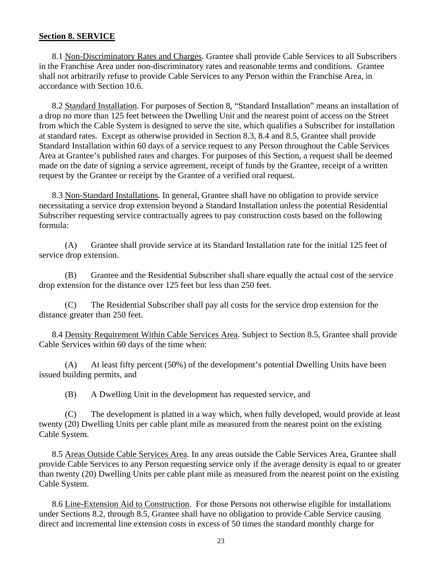### <span id="page-28-0"></span>**Section 8. SERVICE**

<span id="page-28-1"></span>8.1 Non-Discriminatory Rates and Charges. Grantee shall provide Cable Services to all Subscribers in the Franchise Area under non-discriminatory rates and reasonable terms and conditions. Grantee shall not arbitrarily refuse to provide Cable Services to any Person within the Franchise Area, in accordance with Section 10.6.

<span id="page-28-2"></span>8.2 Standard Installation. For purposes of Section 8, "Standard Installation" means an installation of a drop no more than 125 feet between the Dwelling Unit and the nearest point of access on the Street from which the Cable System is designed to serve the site, which qualifies a Subscriber for installation at standard rates. Except as otherwise provided in Section 8.3, 8.4 and 8.5, Grantee shall provide Standard Installation within 60 days of a service request to any Person throughout the Cable Services Area at Grantee's published rates and charges. For purposes of this Section, a request shall be deemed made on the date of signing a service agreement, receipt of funds by the Grantee, receipt of a written request by the Grantee or receipt by the Grantee of a verified oral request.

<span id="page-28-3"></span>8.3 Non-Standard Installations. In general, Grantee shall have no obligation to provide service necessitating a service drop extension beyond a Standard Installation unless the potential Residential Subscriber requesting service contractually agrees to pay construction costs based on the following formula:

(A) Grantee shall provide service at its Standard Installation rate for the initial 125 feet of service drop extension.

(B) Grantee and the Residential Subscriber shall share equally the actual cost of the service drop extension for the distance over 125 feet but less than 250 feet.

(C) The Residential Subscriber shall pay all costs for the service drop extension for the distance greater than 250 feet.

8.4 Density Requirement Within Cable Services Area. Subject to Section 8.5, Grantee shall provide Cable Services within 60 days of the time when:

(A) At least fifty percent (50%) of the development's potential Dwelling Units have been issued building permits, and

(B) A Dwelling Unit in the development has requested service, and

(C) The development is platted in a way which, when fully developed, would provide at least twenty (20) Dwelling Units per cable plant mile as measured from the nearest point on the existing Cable System.

8.5 Areas Outside Cable Services Area. In any areas outside the Cable Services Area, Grantee shall provide Cable Services to any Person requesting service only if the average density is equal to or greater than twenty (20) Dwelling Units per cable plant mile as measured from the nearest point on the existing Cable System.

8.6 Line-Extension Aid to Construction. For those Persons not otherwise eligible for installations under Sections 8.2, through 8.5, Grantee shall have no obligation to provide Cable Service causing direct and incremental line extension costs in excess of 50 times the standard monthly charge for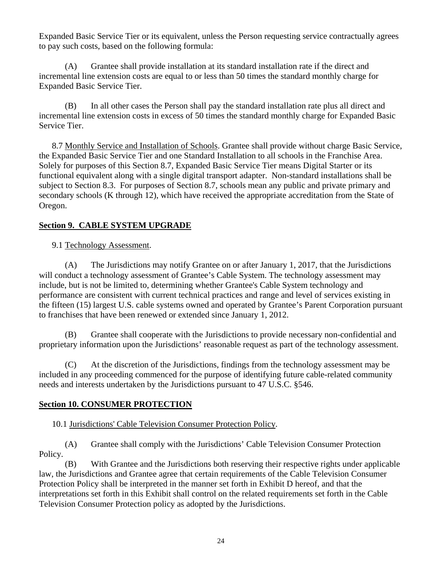Expanded Basic Service Tier or its equivalent, unless the Person requesting service contractually agrees to pay such costs, based on the following formula:

(A) Grantee shall provide installation at its standard installation rate if the direct and incremental line extension costs are equal to or less than 50 times the standard monthly charge for Expanded Basic Service Tier.

(B) In all other cases the Person shall pay the standard installation rate plus all direct and incremental line extension costs in excess of 50 times the standard monthly charge for Expanded Basic Service Tier.

<span id="page-29-1"></span>8.7 Monthly Service and Installation of Schools. Grantee shall provide without charge Basic Service, the Expanded Basic Service Tier and one Standard Installation to all schools in the Franchise Area. Solely for purposes of this Section 8.7, Expanded Basic Service Tier means Digital Starter or its functional equivalent along with a single digital transport adapter. Non-standard installations shall be subject to Section 8.3. For purposes of Section 8.7, schools mean any public and private primary and secondary schools (K through 12), which have received the appropriate accreditation from the State of Oregon.

# <span id="page-29-3"></span><span id="page-29-2"></span>**Section 9. CABLE SYSTEM UPGRADE**

9.1 Technology Assessment.

(A) The Jurisdictions may notify Grantee on or after January 1, 2017, that the Jurisdictions will conduct a technology assessment of Grantee's Cable System. The technology assessment may include, but is not be limited to, determining whether Grantee's Cable System technology and performance are consistent with current technical practices and range and level of services existing in the fifteen (15) largest U.S. cable systems owned and operated by Grantee's Parent Corporation pursuant to franchises that have been renewed or extended since January 1, 2012.

(B) Grantee shall cooperate with the Jurisdictions to provide necessary non-confidential and proprietary information upon the Jurisdictions' reasonable request as part of the technology assessment.

(C) At the discretion of the Jurisdictions, findings from the technology assessment may be included in any proceeding commenced for the purpose of identifying future cable-related community needs and interests undertaken by the Jurisdictions pursuant to 47 U.S.C. §546.

# <span id="page-29-5"></span><span id="page-29-4"></span>**Section 10. CONSUMER PROTECTION**

10.1 Jurisdictions' Cable Television Consumer Protection Policy.

(A) Grantee shall comply with the Jurisdictions' Cable Television Consumer Protection Policy.

<span id="page-29-0"></span>(B) With Grantee and the Jurisdictions both reserving their respective rights under applicable law, the Jurisdictions and Grantee agree that certain requirements of the Cable Television Consumer Protection Policy shall be interpreted in the manner set forth in Exhibit D hereof, and that the interpretations set forth in this Exhibit shall control on the related requirements set forth in the Cable Television Consumer Protection policy as adopted by the Jurisdictions.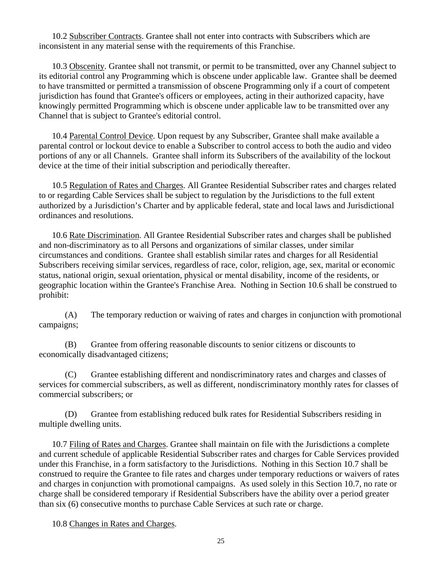<span id="page-30-0"></span>10.2 Subscriber Contracts. Grantee shall not enter into contracts with Subscribers which are inconsistent in any material sense with the requirements of this Franchise.

<span id="page-30-1"></span>10.3 Obscenity. Grantee shall not transmit, or permit to be transmitted, over any Channel subject to its editorial control any Programming which is obscene under applicable law. Grantee shall be deemed to have transmitted or permitted a transmission of obscene Programming only if a court of competent jurisdiction has found that Grantee's officers or employees, acting in their authorized capacity, have knowingly permitted Programming which is obscene under applicable law to be transmitted over any Channel that is subject to Grantee's editorial control.

<span id="page-30-2"></span>10.4 Parental Control Device. Upon request by any Subscriber, Grantee shall make available a parental control or lockout device to enable a Subscriber to control access to both the audio and video portions of any or all Channels. Grantee shall inform its Subscribers of the availability of the lockout device at the time of their initial subscription and periodically thereafter.

<span id="page-30-3"></span>10.5 Regulation of Rates and Charges. All Grantee Residential Subscriber rates and charges related to or regarding Cable Services shall be subject to regulation by the Jurisdictions to the full extent authorized by a Jurisdiction's Charter and by applicable federal, state and local laws and Jurisdictional ordinances and resolutions.

<span id="page-30-4"></span>10.6 Rate Discrimination. All Grantee Residential Subscriber rates and charges shall be published and non-discriminatory as to all Persons and organizations of similar classes, under similar circumstances and conditions. Grantee shall establish similar rates and charges for all Residential Subscribers receiving similar services, regardless of race, color, religion, age, sex, marital or economic status, national origin, sexual orientation, physical or mental disability, income of the residents, or geographic location within the Grantee's Franchise Area. Nothing in Section 10.6 shall be construed to prohibit:

(A) The temporary reduction or waiving of rates and charges in conjunction with promotional campaigns;

(B) Grantee from offering reasonable discounts to senior citizens or discounts to economically disadvantaged citizens;

(C) Grantee establishing different and nondiscriminatory rates and charges and classes of services for commercial subscribers, as well as different, nondiscriminatory monthly rates for classes of commercial subscribers; or

(D) Grantee from establishing reduced bulk rates for Residential Subscribers residing in multiple dwelling units.

<span id="page-30-5"></span>10.7 Filing of Rates and Charges. Grantee shall maintain on file with the Jurisdictions a complete and current schedule of applicable Residential Subscriber rates and charges for Cable Services provided under this Franchise, in a form satisfactory to the Jurisdictions. Nothing in this Section 10.7 shall be construed to require the Grantee to file rates and charges under temporary reductions or waivers of rates and charges in conjunction with promotional campaigns. As used solely in this Section 10.7, no rate or charge shall be considered temporary if Residential Subscribers have the ability over a period greater than six (6) consecutive months to purchase Cable Services at such rate or charge.

<span id="page-30-6"></span>10.8 Changes in Rates and Charges.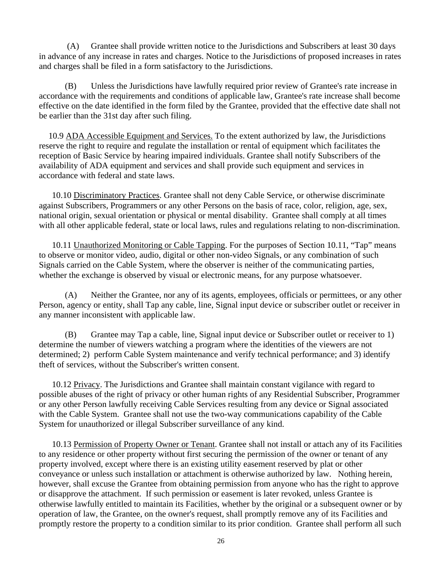(A) Grantee shall provide written notice to the Jurisdictions and Subscribers at least 30 days in advance of any increase in rates and charges. Notice to the Jurisdictions of proposed increases in rates and charges shall be filed in a form satisfactory to the Jurisdictions.

(B) Unless the Jurisdictions have lawfully required prior review of Grantee's rate increase in accordance with the requirements and conditions of applicable law, Grantee's rate increase shall become effective on the date identified in the form filed by the Grantee, provided that the effective date shall not be earlier than the 31st day after such filing.

<span id="page-31-0"></span>10.9 ADA Accessible Equipment and Services. To the extent authorized by law, the Jurisdictions reserve the right to require and regulate the installation or rental of equipment which facilitates the reception of Basic Service by hearing impaired individuals. Grantee shall notify Subscribers of the availability of ADA equipment and services and shall provide such equipment and services in accordance with federal and state laws.

<span id="page-31-1"></span>10.10 Discriminatory Practices. Grantee shall not deny Cable Service, or otherwise discriminate against Subscribers, Programmers or any other Persons on the basis of race, color, religion, age, sex, national origin, sexual orientation or physical or mental disability. Grantee shall comply at all times with all other applicable federal, state or local laws, rules and regulations relating to non-discrimination.

<span id="page-31-2"></span>10.11 Unauthorized Monitoring or Cable Tapping. For the purposes of Section 10.11, "Tap" means to observe or monitor video, audio, digital or other non-video Signals, or any combination of such Signals carried on the Cable System, where the observer is neither of the communicating parties, whether the exchange is observed by visual or electronic means, for any purpose whatsoever.

(A) Neither the Grantee, nor any of its agents, employees, officials or permittees, or any other Person, agency or entity, shall Tap any cable, line, Signal input device or subscriber outlet or receiver in any manner inconsistent with applicable law.

(B) Grantee may Tap a cable, line, Signal input device or Subscriber outlet or receiver to 1) determine the number of viewers watching a program where the identities of the viewers are not determined; 2) perform Cable System maintenance and verify technical performance; and 3) identify theft of services, without the Subscriber's written consent.

<span id="page-31-3"></span>10.12 Privacy. The Jurisdictions and Grantee shall maintain constant vigilance with regard to possible abuses of the right of privacy or other human rights of any Residential Subscriber, Programmer or any other Person lawfully receiving Cable Services resulting from any device or Signal associated with the Cable System. Grantee shall not use the two-way communications capability of the Cable System for unauthorized or illegal Subscriber surveillance of any kind.

10.13 Permission of Property Owner or Tenant. Grantee shall not install or attach any of its Facilities to any residence or other property without first securing the permission of the owner or tenant of any property involved, except where there is an existing utility easement reserved by plat or other conveyance or unless such installation or attachment is otherwise authorized by law. Nothing herein, however, shall excuse the Grantee from obtaining permission from anyone who has the right to approve or disapprove the attachment. If such permission or easement is later revoked, unless Grantee is otherwise lawfully entitled to maintain its Facilities, whether by the original or a subsequent owner or by operation of law, the Grantee, on the owner's request, shall promptly remove any of its Facilities and promptly restore the property to a condition similar to its prior condition. Grantee shall perform all such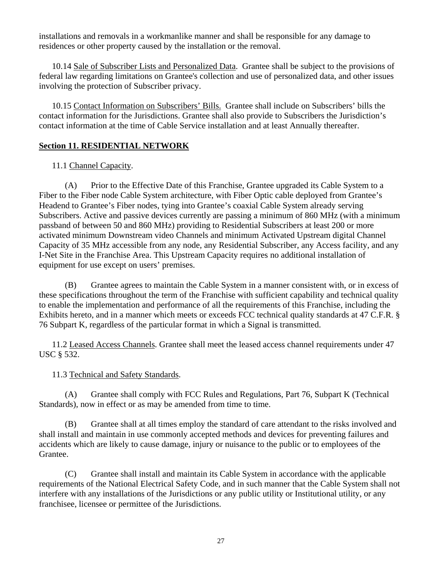installations and removals in a workmanlike manner and shall be responsible for any damage to residences or other property caused by the installation or the removal.

<span id="page-32-1"></span>10.14 Sale of Subscriber Lists and Personalized Data. Grantee shall be subject to the provisions of federal law regarding limitations on Grantee's collection and use of personalized data, and other issues involving the protection of Subscriber privacy.

<span id="page-32-2"></span>10.15 Contact Information on Subscribers' Bills. Grantee shall include on Subscribers' bills the contact information for the Jurisdictions. Grantee shall also provide to Subscribers the Jurisdiction's contact information at the time of Cable Service installation and at least Annually thereafter.

# <span id="page-32-4"></span><span id="page-32-3"></span>**Section 11. RESIDENTIAL NETWORK**

### 11.1 Channel Capacity.

 (A) Prior to the Effective Date of this Franchise, Grantee upgraded its Cable System to a Fiber to the Fiber node Cable System architecture, with Fiber Optic cable deployed from Grantee's Headend to Grantee's Fiber nodes, tying into Grantee's coaxial Cable System already serving Subscribers. Active and passive devices currently are passing a minimum of 860 MHz (with a minimum passband of between 50 and 860 MHz) providing to Residential Subscribers at least 200 or more activated minimum Downstream video Channels and minimum Activated Upstream digital Channel Capacity of 35 MHz accessible from any node, any Residential Subscriber, any Access facility, and any I-Net Site in the Franchise Area. This Upstream Capacity requires no additional installation of equipment for use except on users' premises.

 (B) Grantee agrees to maintain the Cable System in a manner consistent with, or in excess of these specifications throughout the term of the Franchise with sufficient capability and technical quality to enable the implementation and performance of all the requirements of this Franchise, including the Exhibits hereto, and in a manner which meets or exceeds FCC technical quality standards at 47 C.F.R. § 76 Subpart K, regardless of the particular format in which a Signal is transmitted.

<span id="page-32-5"></span>11.2 Leased Access Channels. Grantee shall meet the leased access channel requirements under 47 USC § 532.

# 11.3 Technical and Safety Standards.

<span id="page-32-6"></span>(A) Grantee shall comply with FCC Rules and Regulations, Part 76, Subpart K (Technical Standards), now in effect or as may be amended from time to time.

<span id="page-32-0"></span>(B) Grantee shall at all times employ the standard of care attendant to the risks involved and shall install and maintain in use commonly accepted methods and devices for preventing failures and accidents which are likely to cause damage, injury or nuisance to the public or to employees of the Grantee.

(C) Grantee shall install and maintain its Cable System in accordance with the applicable requirements of the National Electrical Safety Code, and in such manner that the Cable System shall not interfere with any installations of the Jurisdictions or any public utility or Institutional utility, or any franchisee, licensee or permittee of the Jurisdictions.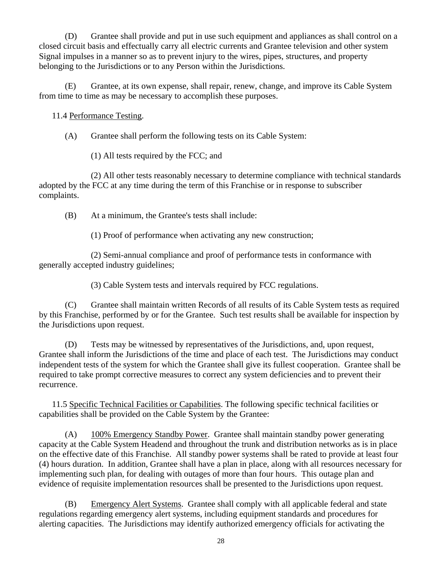(D) Grantee shall provide and put in use such equipment and appliances as shall control on a closed circuit basis and effectually carry all electric currents and Grantee television and other system Signal impulses in a manner so as to prevent injury to the wires, pipes, structures, and property belonging to the Jurisdictions or to any Person within the Jurisdictions.

<span id="page-33-0"></span>(E) Grantee, at its own expense, shall repair, renew, change, and improve its Cable System from time to time as may be necessary to accomplish these purposes.

# 11.4 Performance Testing.

(A) Grantee shall perform the following tests on its Cable System:

(1) All tests required by the FCC; and

(2) All other tests reasonably necessary to determine compliance with technical standards adopted by the FCC at any time during the term of this Franchise or in response to subscriber complaints.

(B) At a minimum, the Grantee's tests shall include:

(1) Proof of performance when activating any new construction;

(2) Semi-annual compliance and proof of performance tests in conformance with generally accepted industry guidelines;

(3) Cable System tests and intervals required by FCC regulations.

(C) Grantee shall maintain written Records of all results of its Cable System tests as required by this Franchise, performed by or for the Grantee. Such test results shall be available for inspection by the Jurisdictions upon request.

(D) Tests may be witnessed by representatives of the Jurisdictions, and, upon request, Grantee shall inform the Jurisdictions of the time and place of each test. The Jurisdictions may conduct independent tests of the system for which the Grantee shall give its fullest cooperation. Grantee shall be required to take prompt corrective measures to correct any system deficiencies and to prevent their recurrence.

<span id="page-33-1"></span>11.5 Specific Technical Facilities or Capabilities. The following specific technical facilities or capabilities shall be provided on the Cable System by the Grantee:

(A) 100% Emergency Standby Power. Grantee shall maintain standby power generating capacity at the Cable System Headend and throughout the trunk and distribution networks as is in place on the effective date of this Franchise. All standby power systems shall be rated to provide at least four (4) hours duration. In addition, Grantee shall have a plan in place, along with all resources necessary for implementing such plan, for dealing with outages of more than four hours. This outage plan and evidence of requisite implementation resources shall be presented to the Jurisdictions upon request.

(B) Emergency Alert Systems. Grantee shall comply with all applicable federal and state regulations regarding emergency alert systems, including equipment standards and procedures for alerting capacities. The Jurisdictions may identify authorized emergency officials for activating the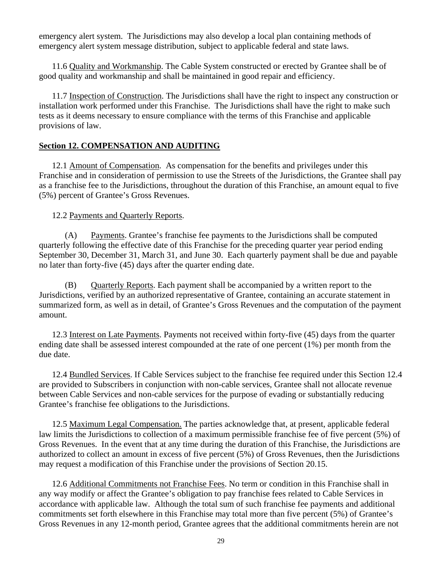emergency alert system. The Jurisdictions may also develop a local plan containing methods of emergency alert system message distribution, subject to applicable federal and state laws.

<span id="page-34-0"></span>11.6 Quality and Workmanship. The Cable System constructed or erected by Grantee shall be of good quality and workmanship and shall be maintained in good repair and efficiency.

<span id="page-34-1"></span>11.7 Inspection of Construction. The Jurisdictions shall have the right to inspect any construction or installation work performed under this Franchise. The Jurisdictions shall have the right to make such tests as it deems necessary to ensure compliance with the terms of this Franchise and applicable provisions of law.

# <span id="page-34-2"></span>**Section 12. COMPENSATION AND AUDITING**

<span id="page-34-3"></span>12.1 Amount of Compensation. As compensation for the benefits and privileges under this Franchise and in consideration of permission to use the Streets of the Jurisdictions, the Grantee shall pay as a franchise fee to the Jurisdictions, throughout the duration of this Franchise, an amount equal to five (5%) percent of Grantee's Gross Revenues.

12.2 Payments and Quarterly Reports.

<span id="page-34-4"></span>(A) Payments. Grantee's franchise fee payments to the Jurisdictions shall be computed quarterly following the effective date of this Franchise for the preceding quarter year period ending September 30, December 31, March 31, and June 30. Each quarterly payment shall be due and payable no later than forty-five (45) days after the quarter ending date.

(B) Quarterly Reports. Each payment shall be accompanied by a written report to the Jurisdictions, verified by an authorized representative of Grantee, containing an accurate statement in summarized form, as well as in detail, of Grantee's Gross Revenues and the computation of the payment amount.

<span id="page-34-5"></span>12.3 Interest on Late Payments. Payments not received within forty-five (45) days from the quarter ending date shall be assessed interest compounded at the rate of one percent (1%) per month from the due date.

<span id="page-34-6"></span>12.4 Bundled Services. If Cable Services subject to the franchise fee required under this Section 12.4 are provided to Subscribers in conjunction with non-cable services, Grantee shall not allocate revenue between Cable Services and non-cable services for the purpose of evading or substantially reducing Grantee's franchise fee obligations to the Jurisdictions.

<span id="page-34-7"></span>12.5 Maximum Legal Compensation. The parties acknowledge that, at present, applicable federal law limits the Jurisdictions to collection of a maximum permissible franchise fee of five percent (5%) of Gross Revenues. In the event that at any time during the duration of this Franchise, the Jurisdictions are authorized to collect an amount in excess of five percent (5%) of Gross Revenues, then the Jurisdictions may request a modification of this Franchise under the provisions of Section 20.15.

12.6 Additional Commitments not Franchise Fees. No term or condition in this Franchise shall in any way modify or affect the Grantee's obligation to pay franchise fees related to Cable Services in accordance with applicable law. Although the total sum of such franchise fee payments and additional commitments set forth elsewhere in this Franchise may total more than five percent (5%) of Grantee's Gross Revenues in any 12-month period, Grantee agrees that the additional commitments herein are not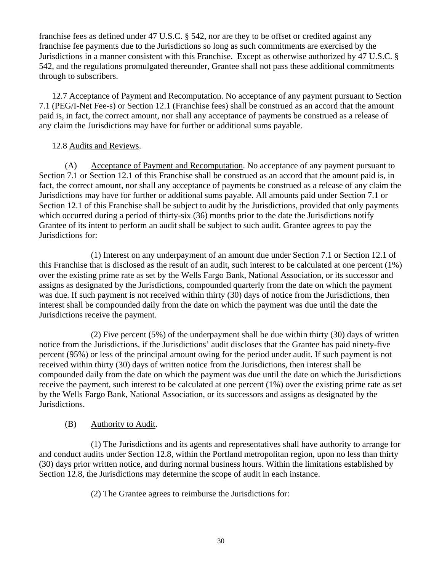franchise fees as defined under 47 U.S.C. § 542, nor are they to be offset or credited against any franchise fee payments due to the Jurisdictions so long as such commitments are exercised by the Jurisdictions in a manner consistent with this Franchise. Except as otherwise authorized by 47 U.S.C. § 542, and the regulations promulgated thereunder, Grantee shall not pass these additional commitments through to subscribers.

<span id="page-35-1"></span>12.7 Acceptance of Payment and Recomputation. No acceptance of any payment pursuant to Section 7.1 (PEG/I-Net Fee-s) or Section 12.1 (Franchise fees) shall be construed as an accord that the amount paid is, in fact, the correct amount, nor shall any acceptance of payments be construed as a release of any claim the Jurisdictions may have for further or additional sums payable.

### 12.8 Audits and Reviews.

<span id="page-35-2"></span>(A) Acceptance of Payment and Recomputation. No acceptance of any payment pursuant to Section 7.1 or Section 12.1 of this Franchise shall be construed as an accord that the amount paid is, in fact, the correct amount, nor shall any acceptance of payments be construed as a release of any claim the Jurisdictions may have for further or additional sums payable. All amounts paid under Section 7.1 or Section 12.1 of this Franchise shall be subject to audit by the Jurisdictions, provided that only payments which occurred during a period of thirty-six (36) months prior to the date the Jurisdictions notify Grantee of its intent to perform an audit shall be subject to such audit. Grantee agrees to pay the Jurisdictions for:

(1) Interest on any underpayment of an amount due under Section 7.1 or Section 12.1 of this Franchise that is disclosed as the result of an audit, such interest to be calculated at one percent (1%) over the existing prime rate as set by the Wells Fargo Bank, National Association, or its successor and assigns as designated by the Jurisdictions, compounded quarterly from the date on which the payment was due. If such payment is not received within thirty (30) days of notice from the Jurisdictions, then interest shall be compounded daily from the date on which the payment was due until the date the Jurisdictions receive the payment.

(2) Five percent (5%) of the underpayment shall be due within thirty (30) days of written notice from the Jurisdictions, if the Jurisdictions' audit discloses that the Grantee has paid ninety-five percent (95%) or less of the principal amount owing for the period under audit. If such payment is not received within thirty (30) days of written notice from the Jurisdictions, then interest shall be compounded daily from the date on which the payment was due until the date on which the Jurisdictions receive the payment, such interest to be calculated at one percent (1%) over the existing prime rate as set by the Wells Fargo Bank, National Association, or its successors and assigns as designated by the Jurisdictions.

### (B) Authority to Audit.

<span id="page-35-0"></span>(1) The Jurisdictions and its agents and representatives shall have authority to arrange for and conduct audits under Section 12.8, within the Portland metropolitan region, upon no less than thirty (30) days prior written notice, and during normal business hours. Within the limitations established by Section 12.8, the Jurisdictions may determine the scope of audit in each instance.

(2) The Grantee agrees to reimburse the Jurisdictions for: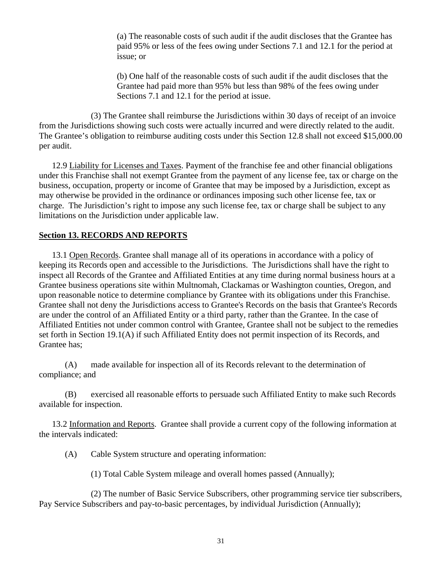(a) The reasonable costs of such audit if the audit discloses that the Grantee has paid 95% or less of the fees owing under Sections 7.1 and 12.1 for the period at issue; or

(b) One half of the reasonable costs of such audit if the audit discloses that the Grantee had paid more than 95% but less than 98% of the fees owing under Sections 7.1 and 12.1 for the period at issue.

(3) The Grantee shall reimburse the Jurisdictions within 30 days of receipt of an invoice from the Jurisdictions showing such costs were actually incurred and were directly related to the audit. The Grantee's obligation to reimburse auditing costs under this Section 12.8 shall not exceed \$15,000.00 per audit.

<span id="page-36-0"></span>12.9 Liability for Licenses and Taxes. Payment of the franchise fee and other financial obligations under this Franchise shall not exempt Grantee from the payment of any license fee, tax or charge on the business, occupation, property or income of Grantee that may be imposed by a Jurisdiction, except as may otherwise be provided in the ordinance or ordinances imposing such other license fee, tax or charge. The Jurisdiction's right to impose any such license fee, tax or charge shall be subject to any limitations on the Jurisdiction under applicable law.

### <span id="page-36-1"></span>**Section 13. RECORDS AND REPORTS**

<span id="page-36-2"></span>13.1 Open Records. Grantee shall manage all of its operations in accordance with a policy of keeping its Records open and accessible to the Jurisdictions. The Jurisdictions shall have the right to inspect all Records of the Grantee and Affiliated Entities at any time during normal business hours at a Grantee business operations site within Multnomah, Clackamas or Washington counties, Oregon, and upon reasonable notice to determine compliance by Grantee with its obligations under this Franchise. Grantee shall not deny the Jurisdictions access to Grantee's Records on the basis that Grantee's Records are under the control of an Affiliated Entity or a third party, rather than the Grantee. In the case of Affiliated Entities not under common control with Grantee, Grantee shall not be subject to the remedies set forth in Section 19.1(A) if such Affiliated Entity does not permit inspection of its Records, and Grantee has;

(A) made available for inspection all of its Records relevant to the determination of compliance; and

(B) exercised all reasonable efforts to persuade such Affiliated Entity to make such Records available for inspection.

<span id="page-36-3"></span>13.2 Information and Reports. Grantee shall provide a current copy of the following information at the intervals indicated:

(A) Cable System structure and operating information:

(1) Total Cable System mileage and overall homes passed (Annually);

(2) The number of Basic Service Subscribers, other programming service tier subscribers, Pay Service Subscribers and pay-to-basic percentages, by individual Jurisdiction (Annually);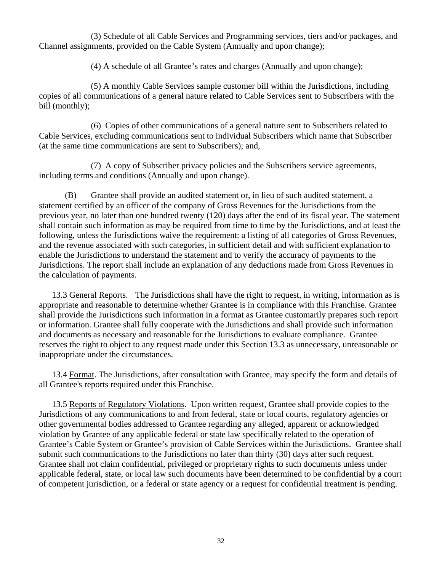(3) Schedule of all Cable Services and Programming services, tiers and/or packages, and Channel assignments, provided on the Cable System (Annually and upon change);

(4) A schedule of all Grantee's rates and charges (Annually and upon change);

(5) A monthly Cable Services sample customer bill within the Jurisdictions, including copies of all communications of a general nature related to Cable Services sent to Subscribers with the bill (monthly);

(6) Copies of other communications of a general nature sent to Subscribers related to Cable Services, excluding communications sent to individual Subscribers which name that Subscriber (at the same time communications are sent to Subscribers); and,

(7) A copy of Subscriber privacy policies and the Subscribers service agreements, including terms and conditions (Annually and upon change).

(B) Grantee shall provide an audited statement or, in lieu of such audited statement, a statement certified by an officer of the company of Gross Revenues for the Jurisdictions from the previous year, no later than one hundred twenty (120) days after the end of its fiscal year. The statement shall contain such information as may be required from time to time by the Jurisdictions, and at least the following, unless the Jurisdictions waive the requirement: a listing of all categories of Gross Revenues, and the revenue associated with such categories, in sufficient detail and with sufficient explanation to enable the Jurisdictions to understand the statement and to verify the accuracy of payments to the Jurisdictions. The report shall include an explanation of any deductions made from Gross Revenues in the calculation of payments.

<span id="page-37-0"></span>13.3 General Reports. The Jurisdictions shall have the right to request, in writing, information as is appropriate and reasonable to determine whether Grantee is in compliance with this Franchise. Grantee shall provide the Jurisdictions such information in a format as Grantee customarily prepares such report or information. Grantee shall fully cooperate with the Jurisdictions and shall provide such information and documents as necessary and reasonable for the Jurisdictions to evaluate compliance. Grantee reserves the right to object to any request made under this Section 13.3 as unnecessary, unreasonable or inappropriate under the circumstances.

<span id="page-37-1"></span>13.4 Format. The Jurisdictions, after consultation with Grantee, may specify the form and details of all Grantee's reports required under this Franchise.

<span id="page-37-2"></span>13.5 Reports of Regulatory Violations. Upon written request, Grantee shall provide copies to the Jurisdictions of any communications to and from federal, state or local courts, regulatory agencies or other governmental bodies addressed to Grantee regarding any alleged, apparent or acknowledged violation by Grantee of any applicable federal or state law specifically related to the operation of Grantee's Cable System or Grantee's provision of Cable Services within the Jurisdictions. Grantee shall submit such communications to the Jurisdictions no later than thirty (30) days after such request. Grantee shall not claim confidential, privileged or proprietary rights to such documents unless under applicable federal, state, or local law such documents have been determined to be confidential by a court of competent jurisdiction, or a federal or state agency or a request for confidential treatment is pending.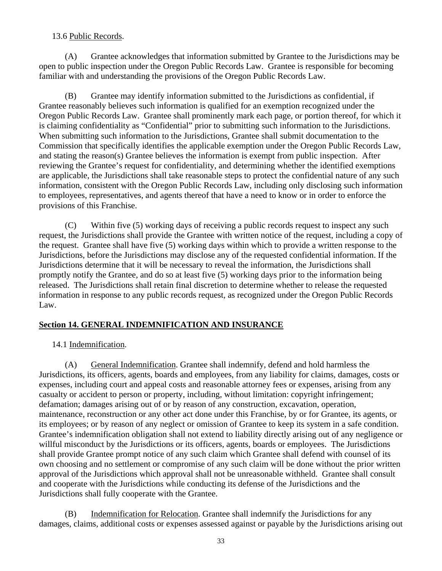### 13.6 Public Records.

<span id="page-38-0"></span>(A) Grantee acknowledges that information submitted by Grantee to the Jurisdictions may be open to public inspection under the Oregon Public Records Law. Grantee is responsible for becoming familiar with and understanding the provisions of the Oregon Public Records Law.

(B) Grantee may identify information submitted to the Jurisdictions as confidential, if Grantee reasonably believes such information is qualified for an exemption recognized under the Oregon Public Records Law. Grantee shall prominently mark each page, or portion thereof, for which it is claiming confidentiality as "Confidential" prior to submitting such information to the Jurisdictions. When submitting such information to the Jurisdictions, Grantee shall submit documentation to the Commission that specifically identifies the applicable exemption under the Oregon Public Records Law, and stating the reason(s) Grantee believes the information is exempt from public inspection. After reviewing the Grantee's request for confidentiality, and determining whether the identified exemptions are applicable, the Jurisdictions shall take reasonable steps to protect the confidential nature of any such information, consistent with the Oregon Public Records Law, including only disclosing such information to employees, representatives, and agents thereof that have a need to know or in order to enforce the provisions of this Franchise.

(C) Within five (5) working days of receiving a public records request to inspect any such request, the Jurisdictions shall provide the Grantee with written notice of the request, including a copy of the request. Grantee shall have five (5) working days within which to provide a written response to the Jurisdictions, before the Jurisdictions may disclose any of the requested confidential information. If the Jurisdictions determine that it will be necessary to reveal the information, the Jurisdictions shall promptly notify the Grantee, and do so at least five (5) working days prior to the information being released. The Jurisdictions shall retain final discretion to determine whether to release the requested information in response to any public records request, as recognized under the Oregon Public Records Law.

# <span id="page-38-2"></span><span id="page-38-1"></span>**Section 14. GENERAL INDEMNIFICATION AND INSURANCE**

14.1 Indemnification.

(A) General Indemnification. Grantee shall indemnify, defend and hold harmless the Jurisdictions, its officers, agents, boards and employees, from any liability for claims, damages, costs or expenses, including court and appeal costs and reasonable attorney fees or expenses, arising from any casualty or accident to person or property, including, without limitation: copyright infringement; defamation; damages arising out of or by reason of any construction, excavation, operation, maintenance, reconstruction or any other act done under this Franchise, by or for Grantee, its agents, or its employees; or by reason of any neglect or omission of Grantee to keep its system in a safe condition. Grantee's indemnification obligation shall not extend to liability directly arising out of any negligence or willful misconduct by the Jurisdictions or its officers, agents, boards or employees. The Jurisdictions shall provide Grantee prompt notice of any such claim which Grantee shall defend with counsel of its own choosing and no settlement or compromise of any such claim will be done without the prior written approval of the Jurisdictions which approval shall not be unreasonable withheld. Grantee shall consult and cooperate with the Jurisdictions while conducting its defense of the Jurisdictions and the Jurisdictions shall fully cooperate with the Grantee.

(B) Indemnification for Relocation. Grantee shall indemnify the Jurisdictions for any damages, claims, additional costs or expenses assessed against or payable by the Jurisdictions arising out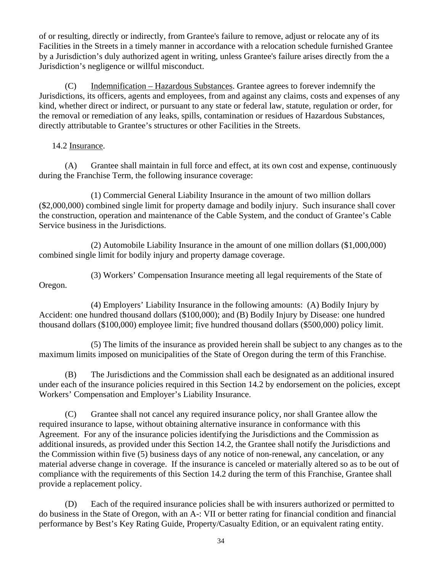of or resulting, directly or indirectly, from Grantee's failure to remove, adjust or relocate any of its Facilities in the Streets in a timely manner in accordance with a relocation schedule furnished Grantee by a Jurisdiction's duly authorized agent in writing, unless Grantee's failure arises directly from the a Jurisdiction's negligence or willful misconduct.

(C) Indemnification – Hazardous Substances. Grantee agrees to forever indemnify the Jurisdictions, its officers, agents and employees, from and against any claims, costs and expenses of any kind, whether direct or indirect, or pursuant to any state or federal law, statute, regulation or order, for the removal or remediation of any leaks, spills, contamination or residues of Hazardous Substances, directly attributable to Grantee's structures or other Facilities in the Streets.

### 14.2 Insurance.

<span id="page-39-0"></span>(A) Grantee shall maintain in full force and effect, at its own cost and expense, continuously during the Franchise Term, the following insurance coverage:

(1) Commercial General Liability Insurance in the amount of two million dollars (\$2,000,000) combined single limit for property damage and bodily injury. Such insurance shall cover the construction, operation and maintenance of the Cable System, and the conduct of Grantee's Cable Service business in the Jurisdictions.

(2) Automobile Liability Insurance in the amount of one million dollars (\$1,000,000) combined single limit for bodily injury and property damage coverage.

(3) Workers' Compensation Insurance meeting all legal requirements of the State of Oregon.

(4) Employers' Liability Insurance in the following amounts: (A) Bodily Injury by Accident: one hundred thousand dollars (\$100,000); and (B) Bodily Injury by Disease: one hundred thousand dollars (\$100,000) employee limit; five hundred thousand dollars (\$500,000) policy limit.

(5) The limits of the insurance as provided herein shall be subject to any changes as to the maximum limits imposed on municipalities of the State of Oregon during the term of this Franchise.

(B) The Jurisdictions and the Commission shall each be designated as an additional insured under each of the insurance policies required in this Section 14.2 by endorsement on the policies, except Workers' Compensation and Employer's Liability Insurance.

(C) Grantee shall not cancel any required insurance policy, nor shall Grantee allow the required insurance to lapse, without obtaining alternative insurance in conformance with this Agreement. For any of the insurance policies identifying the Jurisdictions and the Commission as additional insureds, as provided under this Section 14.2, the Grantee shall notify the Jurisdictions and the Commission within five (5) business days of any notice of non-renewal, any cancelation, or any material adverse change in coverage. If the insurance is canceled or materially altered so as to be out of compliance with the requirements of this Section 14.2 during the term of this Franchise, Grantee shall provide a replacement policy.

(D) Each of the required insurance policies shall be with insurers authorized or permitted to do business in the State of Oregon, with an A-: VII or better rating for financial condition and financial performance by Best's Key Rating Guide, Property/Casualty Edition, or an equivalent rating entity.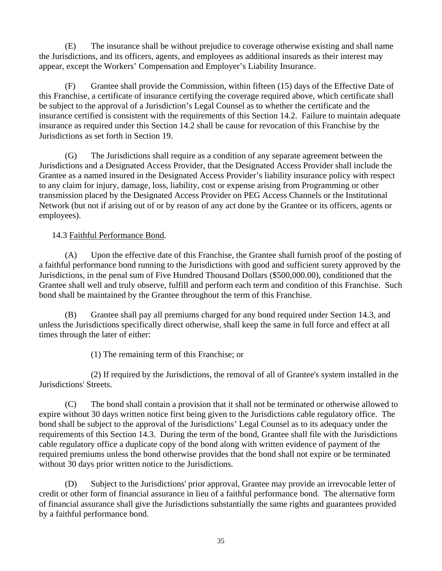(E) The insurance shall be without prejudice to coverage otherwise existing and shall name the Jurisdictions, and its officers, agents, and employees as additional insureds as their interest may appear, except the Workers' Compensation and Employer's Liability Insurance.

(F) Grantee shall provide the Commission, within fifteen (15) days of the Effective Date of this Franchise, a certificate of insurance certifying the coverage required above, which certificate shall be subject to the approval of a Jurisdiction's Legal Counsel as to whether the certificate and the insurance certified is consistent with the requirements of this Section 14.2. Failure to maintain adequate insurance as required under this Section 14.2 shall be cause for revocation of this Franchise by the Jurisdictions as set forth in Section 19.

(G) The Jurisdictions shall require as a condition of any separate agreement between the Jurisdictions and a Designated Access Provider, that the Designated Access Provider shall include the Grantee as a named insured in the Designated Access Provider's liability insurance policy with respect to any claim for injury, damage, loss, liability, cost or expense arising from Programming or other transmission placed by the Designated Access Provider on PEG Access Channels or the Institutional Network (but not if arising out of or by reason of any act done by the Grantee or its officers, agents or employees).

14.3 Faithful Performance Bond.

<span id="page-40-0"></span>(A) Upon the effective date of this Franchise, the Grantee shall furnish proof of the posting of a faithful performance bond running to the Jurisdictions with good and sufficient surety approved by the Jurisdictions, in the penal sum of Five Hundred Thousand Dollars (\$500,000.00), conditioned that the Grantee shall well and truly observe, fulfill and perform each term and condition of this Franchise. Such bond shall be maintained by the Grantee throughout the term of this Franchise.

(B) Grantee shall pay all premiums charged for any bond required under Section 14.3, and unless the Jurisdictions specifically direct otherwise, shall keep the same in full force and effect at all times through the later of either:

(1) The remaining term of this Franchise; or

(2) If required by the Jurisdictions, the removal of all of Grantee's system installed in the Jurisdictions' Streets.

(C) The bond shall contain a provision that it shall not be terminated or otherwise allowed to expire without 30 days written notice first being given to the Jurisdictions cable regulatory office. The bond shall be subject to the approval of the Jurisdictions' Legal Counsel as to its adequacy under the requirements of this Section 14.3. During the term of the bond, Grantee shall file with the Jurisdictions cable regulatory office a duplicate copy of the bond along with written evidence of payment of the required premiums unless the bond otherwise provides that the bond shall not expire or be terminated without 30 days prior written notice to the Jurisdictions.

(D) Subject to the Jurisdictions' prior approval, Grantee may provide an irrevocable letter of credit or other form of financial assurance in lieu of a faithful performance bond. The alternative form of financial assurance shall give the Jurisdictions substantially the same rights and guarantees provided by a faithful performance bond.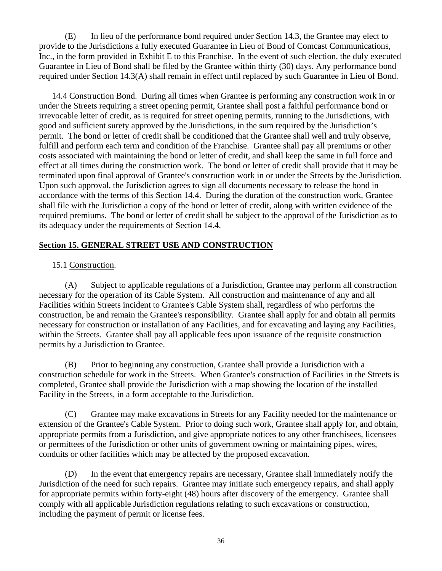(E) In lieu of the performance bond required under Section 14.3, the Grantee may elect to provide to the Jurisdictions a fully executed Guarantee in Lieu of Bond of Comcast Communications, Inc., in the form provided in Exhibit E to this Franchise. In the event of such election, the duly executed Guarantee in Lieu of Bond shall be filed by the Grantee within thirty (30) days. Any performance bond required under Section 14.3(A) shall remain in effect until replaced by such Guarantee in Lieu of Bond.

<span id="page-41-0"></span>14.4 Construction Bond. During all times when Grantee is performing any construction work in or under the Streets requiring a street opening permit, Grantee shall post a faithful performance bond or irrevocable letter of credit, as is required for street opening permits, running to the Jurisdictions, with good and sufficient surety approved by the Jurisdictions, in the sum required by the Jurisdiction's permit. The bond or letter of credit shall be conditioned that the Grantee shall well and truly observe, fulfill and perform each term and condition of the Franchise. Grantee shall pay all premiums or other costs associated with maintaining the bond or letter of credit, and shall keep the same in full force and effect at all times during the construction work. The bond or letter of credit shall provide that it may be terminated upon final approval of Grantee's construction work in or under the Streets by the Jurisdiction. Upon such approval, the Jurisdiction agrees to sign all documents necessary to release the bond in accordance with the terms of this Section 14.4. During the duration of the construction work, Grantee shall file with the Jurisdiction a copy of the bond or letter of credit, along with written evidence of the required premiums. The bond or letter of credit shall be subject to the approval of the Jurisdiction as to its adequacy under the requirements of Section 14.4.

# <span id="page-41-1"></span>**Section 15. GENERAL STREET USE AND CONSTRUCTION**

# 15.1 Construction.

(A) Subject to applicable regulations of a Jurisdiction, Grantee may perform all construction necessary for the operation of its Cable System. All construction and maintenance of any and all Facilities within Streets incident to Grantee's Cable System shall, regardless of who performs the construction, be and remain the Grantee's responsibility. Grantee shall apply for and obtain all permits necessary for construction or installation of any Facilities, and for excavating and laying any Facilities, within the Streets. Grantee shall pay all applicable fees upon issuance of the requisite construction permits by a Jurisdiction to Grantee.

(B) Prior to beginning any construction, Grantee shall provide a Jurisdiction with a construction schedule for work in the Streets. When Grantee's construction of Facilities in the Streets is completed, Grantee shall provide the Jurisdiction with a map showing the location of the installed Facility in the Streets, in a form acceptable to the Jurisdiction.

(C) Grantee may make excavations in Streets for any Facility needed for the maintenance or extension of the Grantee's Cable System. Prior to doing such work, Grantee shall apply for, and obtain, appropriate permits from a Jurisdiction, and give appropriate notices to any other franchisees, licensees or permittees of the Jurisdiction or other units of government owning or maintaining pipes, wires, conduits or other facilities which may be affected by the proposed excavation.

(D) In the event that emergency repairs are necessary, Grantee shall immediately notify the Jurisdiction of the need for such repairs. Grantee may initiate such emergency repairs, and shall apply for appropriate permits within forty-eight (48) hours after discovery of the emergency. Grantee shall comply with all applicable Jurisdiction regulations relating to such excavations or construction, including the payment of permit or license fees.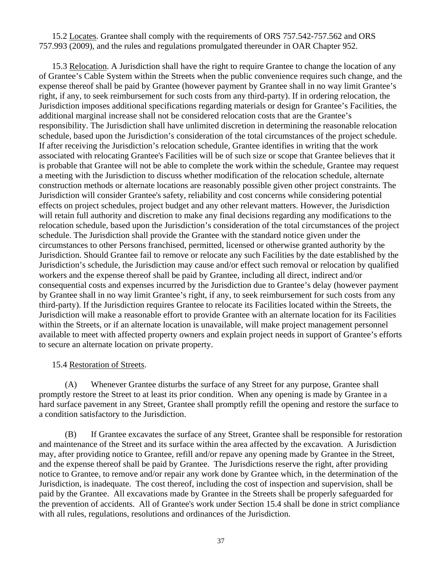15.2 Locates. Grantee shall comply with the requirements of ORS 757.542-757.562 and ORS 757.993 (2009), and the rules and regulations promulgated thereunder in OAR Chapter 952.

15.3 Relocation. A Jurisdiction shall have the right to require Grantee to change the location of any of Grantee's Cable System within the Streets when the public convenience requires such change, and the expense thereof shall be paid by Grantee (however payment by Grantee shall in no way limit Grantee's right, if any, to seek reimbursement for such costs from any third-party). If in ordering relocation, the Jurisdiction imposes additional specifications regarding materials or design for Grantee's Facilities, the additional marginal increase shall not be considered relocation costs that are the Grantee's responsibility. The Jurisdiction shall have unlimited discretion in determining the reasonable relocation schedule, based upon the Jurisdiction's consideration of the total circumstances of the project schedule. If after receiving the Jurisdiction's relocation schedule, Grantee identifies in writing that the work associated with relocating Grantee's Facilities will be of such size or scope that Grantee believes that it is probable that Grantee will not be able to complete the work within the schedule, Grantee may request a meeting with the Jurisdiction to discuss whether modification of the relocation schedule, alternate construction methods or alternate locations are reasonably possible given other project constraints. The Jurisdiction will consider Grantee's safety, reliability and cost concerns while considering potential effects on project schedules, project budget and any other relevant matters. However, the Jurisdiction will retain full authority and discretion to make any final decisions regarding any modifications to the relocation schedule, based upon the Jurisdiction's consideration of the total circumstances of the project schedule. The Jurisdiction shall provide the Grantee with the standard notice given under the circumstances to other Persons franchised, permitted, licensed or otherwise granted authority by the Jurisdiction. Should Grantee fail to remove or relocate any such Facilities by the date established by the Jurisdiction's schedule, the Jurisdiction may cause and/or effect such removal or relocation by qualified workers and the expense thereof shall be paid by Grantee, including all direct, indirect and/or consequential costs and expenses incurred by the Jurisdiction due to Grantee's delay (however payment by Grantee shall in no way limit Grantee's right, if any, to seek reimbursement for such costs from any third-party). If the Jurisdiction requires Grantee to relocate its Facilities located within the Streets, the Jurisdiction will make a reasonable effort to provide Grantee with an alternate location for its Facilities within the Streets, or if an alternate location is unavailable, will make project management personnel available to meet with affected property owners and explain project needs in support of Grantee's efforts to secure an alternate location on private property.

### 15.4 Restoration of Streets.

(A) Whenever Grantee disturbs the surface of any Street for any purpose, Grantee shall promptly restore the Street to at least its prior condition. When any opening is made by Grantee in a hard surface pavement in any Street, Grantee shall promptly refill the opening and restore the surface to a condition satisfactory to the Jurisdiction.

(B) If Grantee excavates the surface of any Street, Grantee shall be responsible for restoration and maintenance of the Street and its surface within the area affected by the excavation. A Jurisdiction may, after providing notice to Grantee, refill and/or repave any opening made by Grantee in the Street, and the expense thereof shall be paid by Grantee. The Jurisdictions reserve the right, after providing notice to Grantee, to remove and/or repair any work done by Grantee which, in the determination of the Jurisdiction, is inadequate. The cost thereof, including the cost of inspection and supervision, shall be paid by the Grantee. All excavations made by Grantee in the Streets shall be properly safeguarded for the prevention of accidents. All of Grantee's work under Section 15.4 shall be done in strict compliance with all rules, regulations, resolutions and ordinances of the Jurisdiction.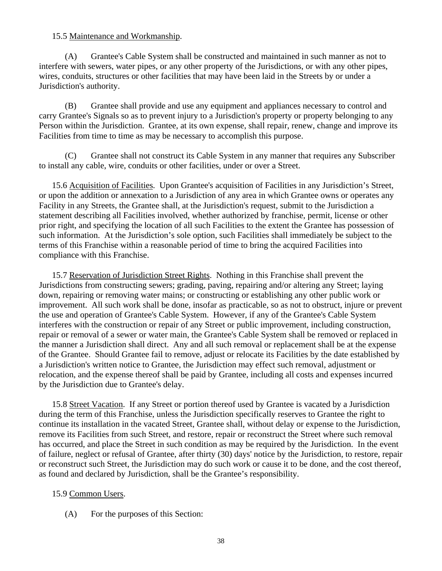### 15.5 Maintenance and Workmanship.

(A) Grantee's Cable System shall be constructed and maintained in such manner as not to interfere with sewers, water pipes, or any other property of the Jurisdictions, or with any other pipes, wires, conduits, structures or other facilities that may have been laid in the Streets by or under a Jurisdiction's authority.

(B) Grantee shall provide and use any equipment and appliances necessary to control and carry Grantee's Signals so as to prevent injury to a Jurisdiction's property or property belonging to any Person within the Jurisdiction. Grantee, at its own expense, shall repair, renew, change and improve its Facilities from time to time as may be necessary to accomplish this purpose.

(C) Grantee shall not construct its Cable System in any manner that requires any Subscriber to install any cable, wire, conduits or other facilities, under or over a Street.

15.6 Acquisition of Facilities. Upon Grantee's acquisition of Facilities in any Jurisdiction's Street, or upon the addition or annexation to a Jurisdiction of any area in which Grantee owns or operates any Facility in any Streets, the Grantee shall, at the Jurisdiction's request, submit to the Jurisdiction a statement describing all Facilities involved, whether authorized by franchise, permit, license or other prior right, and specifying the location of all such Facilities to the extent the Grantee has possession of such information. At the Jurisdiction's sole option, such Facilities shall immediately be subject to the terms of this Franchise within a reasonable period of time to bring the acquired Facilities into compliance with this Franchise.

15.7 Reservation of Jurisdiction Street Rights. Nothing in this Franchise shall prevent the Jurisdictions from constructing sewers; grading, paving, repairing and/or altering any Street; laying down, repairing or removing water mains; or constructing or establishing any other public work or improvement. All such work shall be done, insofar as practicable, so as not to obstruct, injure or prevent the use and operation of Grantee's Cable System. However, if any of the Grantee's Cable System interferes with the construction or repair of any Street or public improvement, including construction, repair or removal of a sewer or water main, the Grantee's Cable System shall be removed or replaced in the manner a Jurisdiction shall direct. Any and all such removal or replacement shall be at the expense of the Grantee. Should Grantee fail to remove, adjust or relocate its Facilities by the date established by a Jurisdiction's written notice to Grantee, the Jurisdiction may effect such removal, adjustment or relocation, and the expense thereof shall be paid by Grantee, including all costs and expenses incurred by the Jurisdiction due to Grantee's delay.

15.8 Street Vacation. If any Street or portion thereof used by Grantee is vacated by a Jurisdiction during the term of this Franchise, unless the Jurisdiction specifically reserves to Grantee the right to continue its installation in the vacated Street, Grantee shall, without delay or expense to the Jurisdiction, remove its Facilities from such Street, and restore, repair or reconstruct the Street where such removal has occurred, and place the Street in such condition as may be required by the Jurisdiction. In the event of failure, neglect or refusal of Grantee, after thirty (30) days' notice by the Jurisdiction, to restore, repair or reconstruct such Street, the Jurisdiction may do such work or cause it to be done, and the cost thereof, as found and declared by Jurisdiction, shall be the Grantee's responsibility.

# 15.9 Common Users.

(A) For the purposes of this Section: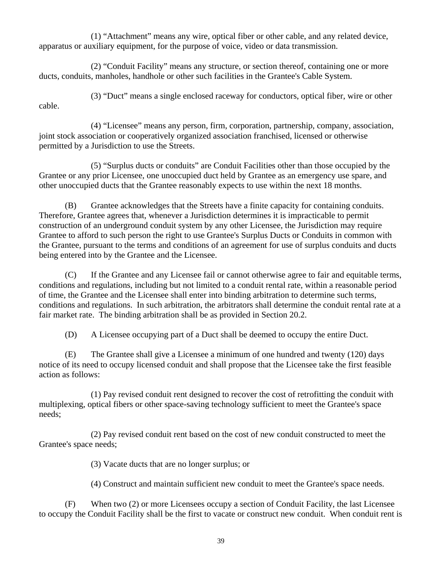(1) "Attachment" means any wire, optical fiber or other cable, and any related device, apparatus or auxiliary equipment, for the purpose of voice, video or data transmission.

(2) "Conduit Facility" means any structure, or section thereof, containing one or more ducts, conduits, manholes, handhole or other such facilities in the Grantee's Cable System.

cable.

(3) "Duct" means a single enclosed raceway for conductors, optical fiber, wire or other

(4) "Licensee" means any person, firm, corporation, partnership, company, association, joint stock association or cooperatively organized association franchised, licensed or otherwise permitted by a Jurisdiction to use the Streets.

(5) "Surplus ducts or conduits" are Conduit Facilities other than those occupied by the Grantee or any prior Licensee, one unoccupied duct held by Grantee as an emergency use spare, and other unoccupied ducts that the Grantee reasonably expects to use within the next 18 months.

(B) Grantee acknowledges that the Streets have a finite capacity for containing conduits. Therefore, Grantee agrees that, whenever a Jurisdiction determines it is impracticable to permit construction of an underground conduit system by any other Licensee, the Jurisdiction may require Grantee to afford to such person the right to use Grantee's Surplus Ducts or Conduits in common with the Grantee, pursuant to the terms and conditions of an agreement for use of surplus conduits and ducts being entered into by the Grantee and the Licensee.

(C) If the Grantee and any Licensee fail or cannot otherwise agree to fair and equitable terms, conditions and regulations, including but not limited to a conduit rental rate, within a reasonable period of time, the Grantee and the Licensee shall enter into binding arbitration to determine such terms, conditions and regulations. In such arbitration, the arbitrators shall determine the conduit rental rate at a fair market rate. The binding arbitration shall be as provided in Section 20.2.

(D) A Licensee occupying part of a Duct shall be deemed to occupy the entire Duct.

(E) The Grantee shall give a Licensee a minimum of one hundred and twenty (120) days notice of its need to occupy licensed conduit and shall propose that the Licensee take the first feasible action as follows:

(1) Pay revised conduit rent designed to recover the cost of retrofitting the conduit with multiplexing, optical fibers or other space-saving technology sufficient to meet the Grantee's space needs;

(2) Pay revised conduit rent based on the cost of new conduit constructed to meet the Grantee's space needs;

(3) Vacate ducts that are no longer surplus; or

(4) Construct and maintain sufficient new conduit to meet the Grantee's space needs.

(F) When two (2) or more Licensees occupy a section of Conduit Facility, the last Licensee to occupy the Conduit Facility shall be the first to vacate or construct new conduit. When conduit rent is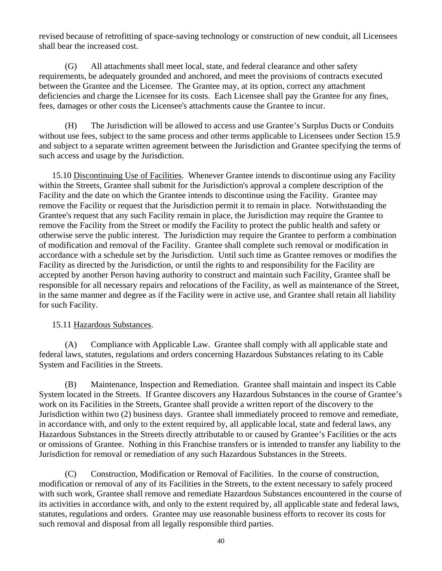revised because of retrofitting of space-saving technology or construction of new conduit, all Licensees shall bear the increased cost.

(G) All attachments shall meet local, state, and federal clearance and other safety requirements, be adequately grounded and anchored, and meet the provisions of contracts executed between the Grantee and the Licensee. The Grantee may, at its option, correct any attachment deficiencies and charge the Licensee for its costs. Each Licensee shall pay the Grantee for any fines, fees, damages or other costs the Licensee's attachments cause the Grantee to incur.

(H) The Jurisdiction will be allowed to access and use Grantee's Surplus Ducts or Conduits without use fees, subject to the same process and other terms applicable to Licensees under Section 15.9 and subject to a separate written agreement between the Jurisdiction and Grantee specifying the terms of such access and usage by the Jurisdiction.

15.10 Discontinuing Use of Facilities. Whenever Grantee intends to discontinue using any Facility within the Streets, Grantee shall submit for the Jurisdiction's approval a complete description of the Facility and the date on which the Grantee intends to discontinue using the Facility. Grantee may remove the Facility or request that the Jurisdiction permit it to remain in place. Notwithstanding the Grantee's request that any such Facility remain in place, the Jurisdiction may require the Grantee to remove the Facility from the Street or modify the Facility to protect the public health and safety or otherwise serve the public interest. The Jurisdiction may require the Grantee to perform a combination of modification and removal of the Facility. Grantee shall complete such removal or modification in accordance with a schedule set by the Jurisdiction. Until such time as Grantee removes or modifies the Facility as directed by the Jurisdiction, or until the rights to and responsibility for the Facility are accepted by another Person having authority to construct and maintain such Facility, Grantee shall be responsible for all necessary repairs and relocations of the Facility, as well as maintenance of the Street, in the same manner and degree as if the Facility were in active use, and Grantee shall retain all liability for such Facility.

# 15.11 Hazardous Substances.

(A) Compliance with Applicable Law. Grantee shall comply with all applicable state and federal laws, statutes, regulations and orders concerning Hazardous Substances relating to its Cable System and Facilities in the Streets.

(B) Maintenance, Inspection and Remediation. Grantee shall maintain and inspect its Cable System located in the Streets. If Grantee discovers any Hazardous Substances in the course of Grantee's work on its Facilities in the Streets, Grantee shall provide a written report of the discovery to the Jurisdiction within two (2) business days. Grantee shall immediately proceed to remove and remediate, in accordance with, and only to the extent required by, all applicable local, state and federal laws, any Hazardous Substances in the Streets directly attributable to or caused by Grantee's Facilities or the acts or omissions of Grantee. Nothing in this Franchise transfers or is intended to transfer any liability to the Jurisdiction for removal or remediation of any such Hazardous Substances in the Streets.

(C) Construction, Modification or Removal of Facilities. In the course of construction, modification or removal of any of its Facilities in the Streets, to the extent necessary to safely proceed with such work, Grantee shall remove and remediate Hazardous Substances encountered in the course of its activities in accordance with, and only to the extent required by, all applicable state and federal laws, statutes, regulations and orders. Grantee may use reasonable business efforts to recover its costs for such removal and disposal from all legally responsible third parties.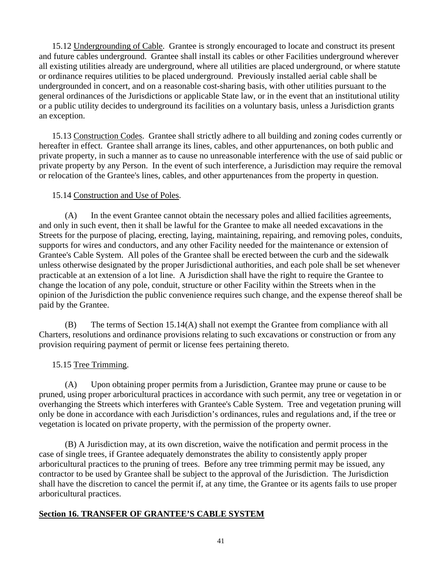15.12 Undergrounding of Cable. Grantee is strongly encouraged to locate and construct its present and future cables underground. Grantee shall install its cables or other Facilities underground wherever all existing utilities already are underground, where all utilities are placed underground, or where statute or ordinance requires utilities to be placed underground. Previously installed aerial cable shall be undergrounded in concert, and on a reasonable cost-sharing basis, with other utilities pursuant to the general ordinances of the Jurisdictions or applicable State law, or in the event that an institutional utility or a public utility decides to underground its facilities on a voluntary basis, unless a Jurisdiction grants an exception.

15.13 Construction Codes. Grantee shall strictly adhere to all building and zoning codes currently or hereafter in effect. Grantee shall arrange its lines, cables, and other appurtenances, on both public and private property, in such a manner as to cause no unreasonable interference with the use of said public or private property by any Person. In the event of such interference, a Jurisdiction may require the removal or relocation of the Grantee's lines, cables, and other appurtenances from the property in question.

### 15.14 Construction and Use of Poles.

<span id="page-46-0"></span>(A) In the event Grantee cannot obtain the necessary poles and allied facilities agreements, and only in such event, then it shall be lawful for the Grantee to make all needed excavations in the Streets for the purpose of placing, erecting, laying, maintaining, repairing, and removing poles, conduits, supports for wires and conductors, and any other Facility needed for the maintenance or extension of Grantee's Cable System. All poles of the Grantee shall be erected between the curb and the sidewalk unless otherwise designated by the proper Jurisdictional authorities, and each pole shall be set whenever practicable at an extension of a lot line. A Jurisdiction shall have the right to require the Grantee to change the location of any pole, conduit, structure or other Facility within the Streets when in the opinion of the Jurisdiction the public convenience requires such change, and the expense thereof shall be paid by the Grantee.

(B) The terms of Section 15.14(A) shall not exempt the Grantee from compliance with all Charters, resolutions and ordinance provisions relating to such excavations or construction or from any provision requiring payment of permit or license fees pertaining thereto.

# 15.15 Tree Trimming.

(A) Upon obtaining proper permits from a Jurisdiction, Grantee may prune or cause to be pruned, using proper arboricultural practices in accordance with such permit, any tree or vegetation in or overhanging the Streets which interferes with Grantee's Cable System. Tree and vegetation pruning will only be done in accordance with each Jurisdiction's ordinances, rules and regulations and, if the tree or vegetation is located on private property, with the permission of the property owner.

(B) A Jurisdiction may, at its own discretion, waive the notification and permit process in the case of single trees, if Grantee adequately demonstrates the ability to consistently apply proper arboricultural practices to the pruning of trees. Before any tree trimming permit may be issued, any contractor to be used by Grantee shall be subject to the approval of the Jurisdiction. The Jurisdiction shall have the discretion to cancel the permit if, at any time, the Grantee or its agents fails to use proper arboricultural practices.

# <span id="page-46-1"></span>**Section 16. TRANSFER OF GRANTEE'S CABLE SYSTEM**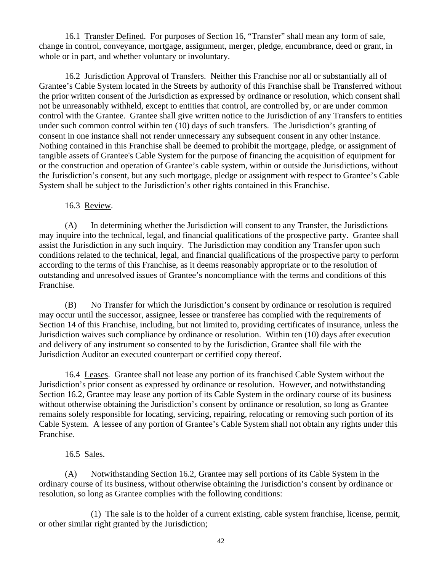<span id="page-47-0"></span>16.1 Transfer Defined. For purposes of Section 16, "Transfer" shall mean any form of sale, change in control, conveyance, mortgage, assignment, merger, pledge, encumbrance, deed or grant, in whole or in part, and whether voluntary or involuntary.

<span id="page-47-1"></span>16.2 Jurisdiction Approval of Transfers. Neither this Franchise nor all or substantially all of Grantee's Cable System located in the Streets by authority of this Franchise shall be Transferred without the prior written consent of the Jurisdiction as expressed by ordinance or resolution, which consent shall not be unreasonably withheld, except to entities that control, are controlled by, or are under common control with the Grantee. Grantee shall give written notice to the Jurisdiction of any Transfers to entities under such common control within ten (10) days of such transfers. The Jurisdiction's granting of consent in one instance shall not render unnecessary any subsequent consent in any other instance. Nothing contained in this Franchise shall be deemed to prohibit the mortgage, pledge, or assignment of tangible assets of Grantee's Cable System for the purpose of financing the acquisition of equipment for or the construction and operation of Grantee's cable system, within or outside the Jurisdictions, without the Jurisdiction's consent, but any such mortgage, pledge or assignment with respect to Grantee's Cable System shall be subject to the Jurisdiction's other rights contained in this Franchise.

16.3 Review.

<span id="page-47-2"></span>(A) In determining whether the Jurisdiction will consent to any Transfer, the Jurisdictions may inquire into the technical, legal, and financial qualifications of the prospective party. Grantee shall assist the Jurisdiction in any such inquiry. The Jurisdiction may condition any Transfer upon such conditions related to the technical, legal, and financial qualifications of the prospective party to perform according to the terms of this Franchise, as it deems reasonably appropriate or to the resolution of outstanding and unresolved issues of Grantee's noncompliance with the terms and conditions of this Franchise.

(B) No Transfer for which the Jurisdiction's consent by ordinance or resolution is required may occur until the successor, assignee, lessee or transferee has complied with the requirements of Section 14 of this Franchise, including, but not limited to, providing certificates of insurance, unless the Jurisdiction waives such compliance by ordinance or resolution. Within ten (10) days after execution and delivery of any instrument so consented to by the Jurisdiction, Grantee shall file with the Jurisdiction Auditor an executed counterpart or certified copy thereof.

<span id="page-47-3"></span>16.4 Leases. Grantee shall not lease any portion of its franchised Cable System without the Jurisdiction's prior consent as expressed by ordinance or resolution. However, and notwithstanding Section 16.2, Grantee may lease any portion of its Cable System in the ordinary course of its business without otherwise obtaining the Jurisdiction's consent by ordinance or resolution, so long as Grantee remains solely responsible for locating, servicing, repairing, relocating or removing such portion of its Cable System. A lessee of any portion of Grantee's Cable System shall not obtain any rights under this Franchise.

16.5 Sales.

<span id="page-47-4"></span>(A) Notwithstanding Section 16.2, Grantee may sell portions of its Cable System in the ordinary course of its business, without otherwise obtaining the Jurisdiction's consent by ordinance or resolution, so long as Grantee complies with the following conditions:

(1) The sale is to the holder of a current existing, cable system franchise, license, permit, or other similar right granted by the Jurisdiction;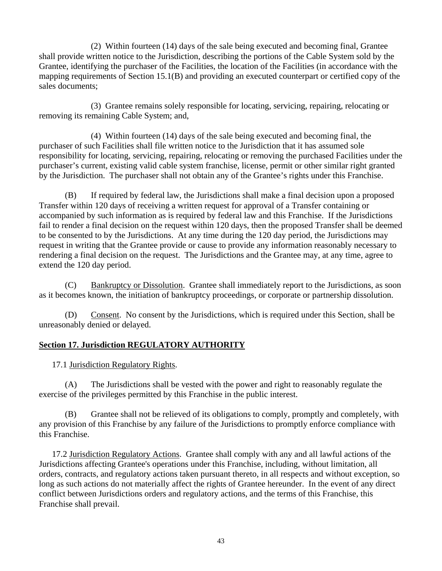(2) Within fourteen (14) days of the sale being executed and becoming final, Grantee shall provide written notice to the Jurisdiction, describing the portions of the Cable System sold by the Grantee, identifying the purchaser of the Facilities, the location of the Facilities (in accordance with the mapping requirements of Section 15.1(B) and providing an executed counterpart or certified copy of the sales documents;

(3) Grantee remains solely responsible for locating, servicing, repairing, relocating or removing its remaining Cable System; and,

(4) Within fourteen (14) days of the sale being executed and becoming final, the purchaser of such Facilities shall file written notice to the Jurisdiction that it has assumed sole responsibility for locating, servicing, repairing, relocating or removing the purchased Facilities under the purchaser's current, existing valid cable system franchise, license, permit or other similar right granted by the Jurisdiction. The purchaser shall not obtain any of the Grantee's rights under this Franchise.

(B) If required by federal law, the Jurisdictions shall make a final decision upon a proposed Transfer within 120 days of receiving a written request for approval of a Transfer containing or accompanied by such information as is required by federal law and this Franchise. If the Jurisdictions fail to render a final decision on the request within 120 days, then the proposed Transfer shall be deemed to be consented to by the Jurisdictions. At any time during the 120 day period, the Jurisdictions may request in writing that the Grantee provide or cause to provide any information reasonably necessary to rendering a final decision on the request. The Jurisdictions and the Grantee may, at any time, agree to extend the 120 day period.

(C) Bankruptcy or Dissolution. Grantee shall immediately report to the Jurisdictions, as soon as it becomes known, the initiation of bankruptcy proceedings, or corporate or partnership dissolution.

(D) Consent. No consent by the Jurisdictions, which is required under this Section, shall be unreasonably denied or delayed.

# <span id="page-48-1"></span><span id="page-48-0"></span>**Section 17. Jurisdiction REGULATORY AUTHORITY**

17.1 Jurisdiction Regulatory Rights.

(A) The Jurisdictions shall be vested with the power and right to reasonably regulate the exercise of the privileges permitted by this Franchise in the public interest.

(B) Grantee shall not be relieved of its obligations to comply, promptly and completely, with any provision of this Franchise by any failure of the Jurisdictions to promptly enforce compliance with this Franchise.

<span id="page-48-2"></span>17.2 Jurisdiction Regulatory Actions. Grantee shall comply with any and all lawful actions of the Jurisdictions affecting Grantee's operations under this Franchise, including, without limitation, all orders, contracts, and regulatory actions taken pursuant thereto, in all respects and without exception, so long as such actions do not materially affect the rights of Grantee hereunder. In the event of any direct conflict between Jurisdictions orders and regulatory actions, and the terms of this Franchise, this Franchise shall prevail.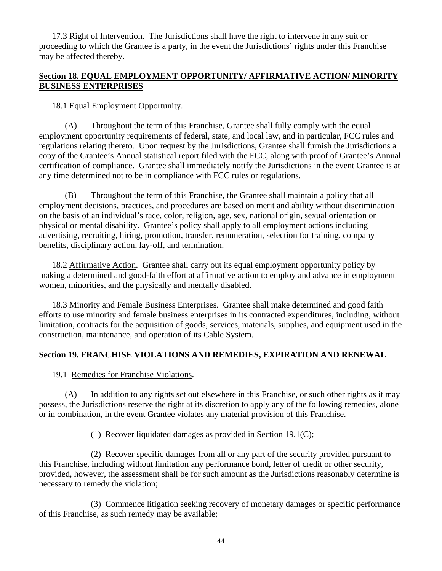<span id="page-49-0"></span>17.3 Right of Intervention. The Jurisdictions shall have the right to intervene in any suit or proceeding to which the Grantee is a party, in the event the Jurisdictions' rights under this Franchise may be affected thereby.

# <span id="page-49-1"></span>**Section 18. EQUAL EMPLOYMENT OPPORTUNITY/ AFFIRMATIVE ACTION/ MINORITY BUSINESS ENTERPRISES**

# 18.1 Equal Employment Opportunity.

<span id="page-49-2"></span>(A) Throughout the term of this Franchise, Grantee shall fully comply with the equal employment opportunity requirements of federal, state, and local law, and in particular, FCC rules and regulations relating thereto. Upon request by the Jurisdictions, Grantee shall furnish the Jurisdictions a copy of the Grantee's Annual statistical report filed with the FCC, along with proof of Grantee's Annual certification of compliance. Grantee shall immediately notify the Jurisdictions in the event Grantee is at any time determined not to be in compliance with FCC rules or regulations.

(B) Throughout the term of this Franchise, the Grantee shall maintain a policy that all employment decisions, practices, and procedures are based on merit and ability without discrimination on the basis of an individual's race, color, religion, age, sex, national origin, sexual orientation or physical or mental disability. Grantee's policy shall apply to all employment actions including advertising, recruiting, hiring, promotion, transfer, remuneration, selection for training, company benefits, disciplinary action, lay-off, and termination.

<span id="page-49-3"></span>18.2 Affirmative Action. Grantee shall carry out its equal employment opportunity policy by making a determined and good-faith effort at affirmative action to employ and advance in employment women, minorities, and the physically and mentally disabled.

<span id="page-49-4"></span>18.3 Minority and Female Business Enterprises. Grantee shall make determined and good faith efforts to use minority and female business enterprises in its contracted expenditures, including, without limitation, contracts for the acquisition of goods, services, materials, supplies, and equipment used in the construction, maintenance, and operation of its Cable System.

# <span id="page-49-6"></span><span id="page-49-5"></span>**Section 19. FRANCHISE VIOLATIONS AND REMEDIES, EXPIRATION AND RENEWAL**

# 19.1 Remedies for Franchise Violations.

(A) In addition to any rights set out elsewhere in this Franchise, or such other rights as it may possess, the Jurisdictions reserve the right at its discretion to apply any of the following remedies, alone or in combination, in the event Grantee violates any material provision of this Franchise.

(1) Recover liquidated damages as provided in Section 19.1(C);

(2) Recover specific damages from all or any part of the security provided pursuant to this Franchise, including without limitation any performance bond, letter of credit or other security, provided, however, the assessment shall be for such amount as the Jurisdictions reasonably determine is necessary to remedy the violation;

(3) Commence litigation seeking recovery of monetary damages or specific performance of this Franchise, as such remedy may be available;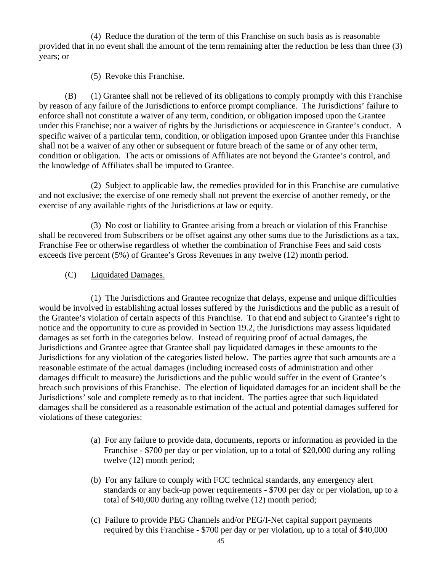(4) Reduce the duration of the term of this Franchise on such basis as is reasonable provided that in no event shall the amount of the term remaining after the reduction be less than three (3) years; or

(5) Revoke this Franchise.

(B) (1) Grantee shall not be relieved of its obligations to comply promptly with this Franchise by reason of any failure of the Jurisdictions to enforce prompt compliance. The Jurisdictions' failure to enforce shall not constitute a waiver of any term, condition, or obligation imposed upon the Grantee under this Franchise; nor a waiver of rights by the Jurisdictions or acquiescence in Grantee's conduct. A specific waiver of a particular term, condition, or obligation imposed upon Grantee under this Franchise shall not be a waiver of any other or subsequent or future breach of the same or of any other term, condition or obligation. The acts or omissions of Affiliates are not beyond the Grantee's control, and the knowledge of Affiliates shall be imputed to Grantee.

(2) Subject to applicable law, the remedies provided for in this Franchise are cumulative and not exclusive; the exercise of one remedy shall not prevent the exercise of another remedy, or the exercise of any available rights of the Jurisdictions at law or equity.

(3) No cost or liability to Grantee arising from a breach or violation of this Franchise shall be recovered from Subscribers or be offset against any other sums due to the Jurisdictions as a tax, Franchise Fee or otherwise regardless of whether the combination of Franchise Fees and said costs exceeds five percent (5%) of Grantee's Gross Revenues in any twelve (12) month period.

(C) Liquidated Damages.

(1) The Jurisdictions and Grantee recognize that delays, expense and unique difficulties would be involved in establishing actual losses suffered by the Jurisdictions and the public as a result of the Grantee's violation of certain aspects of this Franchise. To that end and subject to Grantee's right to notice and the opportunity to cure as provided in Section 19.2, the Jurisdictions may assess liquidated damages as set forth in the categories below. Instead of requiring proof of actual damages, the Jurisdictions and Grantee agree that Grantee shall pay liquidated damages in these amounts to the Jurisdictions for any violation of the categories listed below. The parties agree that such amounts are a reasonable estimate of the actual damages (including increased costs of administration and other damages difficult to measure) the Jurisdictions and the public would suffer in the event of Grantee's breach such provisions of this Franchise. The election of liquidated damages for an incident shall be the Jurisdictions' sole and complete remedy as to that incident. The parties agree that such liquidated damages shall be considered as a reasonable estimation of the actual and potential damages suffered for violations of these categories:

- (a) For any failure to provide data, documents, reports or information as provided in the Franchise - \$700 per day or per violation, up to a total of \$20,000 during any rolling twelve (12) month period;
- (b) For any failure to comply with FCC technical standards, any emergency alert standards or any back-up power requirements - \$700 per day or per violation, up to a total of \$40,000 during any rolling twelve (12) month period;
- (c) Failure to provide PEG Channels and/or PEG/I-Net capital support payments required by this Franchise - \$700 per day or per violation, up to a total of \$40,000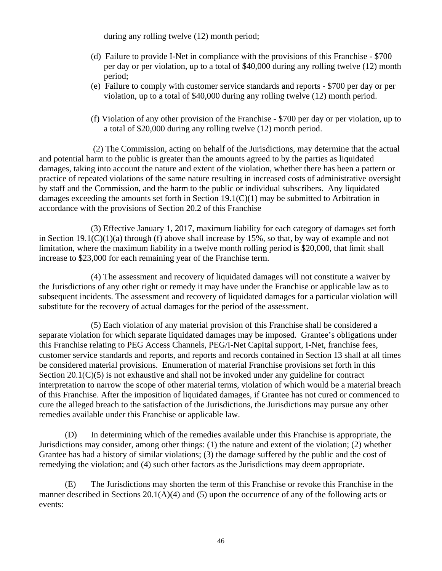during any rolling twelve (12) month period;

- (d) Failure to provide I-Net in compliance with the provisions of this Franchise \$700 per day or per violation, up to a total of \$40,000 during any rolling twelve (12) month period;
- (e) Failure to comply with customer service standards and reports \$700 per day or per violation, up to a total of \$40,000 during any rolling twelve (12) month period.
- (f) Violation of any other provision of the Franchise \$700 per day or per violation, up to a total of \$20,000 during any rolling twelve (12) month period.

 (2) The Commission, acting on behalf of the Jurisdictions, may determine that the actual and potential harm to the public is greater than the amounts agreed to by the parties as liquidated damages, taking into account the nature and extent of the violation, whether there has been a pattern or practice of repeated violations of the same nature resulting in increased costs of administrative oversight by staff and the Commission, and the harm to the public or individual subscribers. Any liquidated damages exceeding the amounts set forth in Section 19.1(C)(1) may be submitted to Arbitration in accordance with the provisions of Section 20.2 of this Franchise

(3) Effective January 1, 2017, maximum liability for each category of damages set forth in Section  $19.1(C)(1)(a)$  through (f) above shall increase by 15%, so that, by way of example and not limitation, where the maximum liability in a twelve month rolling period is \$20,000, that limit shall increase to \$23,000 for each remaining year of the Franchise term.

(4) The assessment and recovery of liquidated damages will not constitute a waiver by the Jurisdictions of any other right or remedy it may have under the Franchise or applicable law as to subsequent incidents. The assessment and recovery of liquidated damages for a particular violation will substitute for the recovery of actual damages for the period of the assessment.

(5) Each violation of any material provision of this Franchise shall be considered a separate violation for which separate liquidated damages may be imposed. Grantee's obligations under this Franchise relating to PEG Access Channels, PEG/I-Net Capital support, I-Net, franchise fees, customer service standards and reports, and reports and records contained in Section 13 shall at all times be considered material provisions. Enumeration of material Franchise provisions set forth in this Section 20.1(C)(5) is not exhaustive and shall not be invoked under any guideline for contract interpretation to narrow the scope of other material terms, violation of which would be a material breach of this Franchise. After the imposition of liquidated damages, if Grantee has not cured or commenced to cure the alleged breach to the satisfaction of the Jurisdictions, the Jurisdictions may pursue any other remedies available under this Franchise or applicable law.

(D) In determining which of the remedies available under this Franchise is appropriate, the Jurisdictions may consider, among other things: (1) the nature and extent of the violation; (2) whether Grantee has had a history of similar violations; (3) the damage suffered by the public and the cost of remedying the violation; and (4) such other factors as the Jurisdictions may deem appropriate.

(E) The Jurisdictions may shorten the term of this Franchise or revoke this Franchise in the manner described in Sections 20.1(A)(4) and (5) upon the occurrence of any of the following acts or events: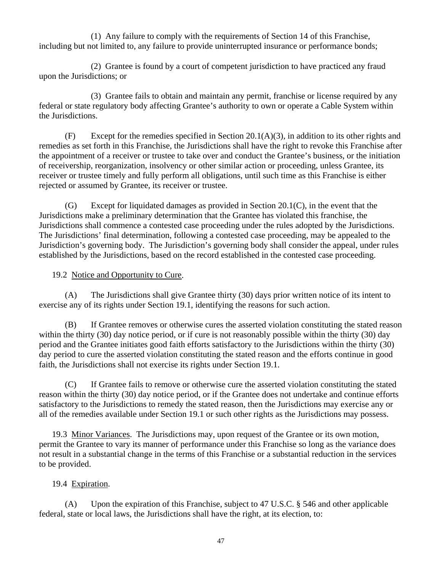(1) Any failure to comply with the requirements of Section 14 of this Franchise, including but not limited to, any failure to provide uninterrupted insurance or performance bonds;

(2) Grantee is found by a court of competent jurisdiction to have practiced any fraud upon the Jurisdictions; or

(3) Grantee fails to obtain and maintain any permit, franchise or license required by any federal or state regulatory body affecting Grantee's authority to own or operate a Cable System within the Jurisdictions.

(F) Except for the remedies specified in Section 20.1(A)(3), in addition to its other rights and remedies as set forth in this Franchise, the Jurisdictions shall have the right to revoke this Franchise after the appointment of a receiver or trustee to take over and conduct the Grantee's business, or the initiation of receivership, reorganization, insolvency or other similar action or proceeding, unless Grantee, its receiver or trustee timely and fully perform all obligations, until such time as this Franchise is either rejected or assumed by Grantee, its receiver or trustee.

 $(G)$  Except for liquidated damages as provided in Section 20.1(C), in the event that the Jurisdictions make a preliminary determination that the Grantee has violated this franchise, the Jurisdictions shall commence a contested case proceeding under the rules adopted by the Jurisdictions. The Jurisdictions' final determination, following a contested case proceeding, may be appealed to the Jurisdiction's governing body. The Jurisdiction's governing body shall consider the appeal, under rules established by the Jurisdictions, based on the record established in the contested case proceeding.

# 19.2 Notice and Opportunity to Cure.

<span id="page-52-0"></span>(A) The Jurisdictions shall give Grantee thirty (30) days prior written notice of its intent to exercise any of its rights under Section 19.1, identifying the reasons for such action.

(B) If Grantee removes or otherwise cures the asserted violation constituting the stated reason within the thirty (30) day notice period, or if cure is not reasonably possible within the thirty (30) day period and the Grantee initiates good faith efforts satisfactory to the Jurisdictions within the thirty (30) day period to cure the asserted violation constituting the stated reason and the efforts continue in good faith, the Jurisdictions shall not exercise its rights under Section 19.1.

(C) If Grantee fails to remove or otherwise cure the asserted violation constituting the stated reason within the thirty (30) day notice period, or if the Grantee does not undertake and continue efforts satisfactory to the Jurisdictions to remedy the stated reason, then the Jurisdictions may exercise any or all of the remedies available under Section 19.1 or such other rights as the Jurisdictions may possess.

<span id="page-52-1"></span>19.3 Minor Variances. The Jurisdictions may, upon request of the Grantee or its own motion, permit the Grantee to vary its manner of performance under this Franchise so long as the variance does not result in a substantial change in the terms of this Franchise or a substantial reduction in the services to be provided.

# 19.4 Expiration.

<span id="page-52-2"></span>(A) Upon the expiration of this Franchise, subject to 47 U.S.C. § 546 and other applicable federal, state or local laws, the Jurisdictions shall have the right, at its election, to: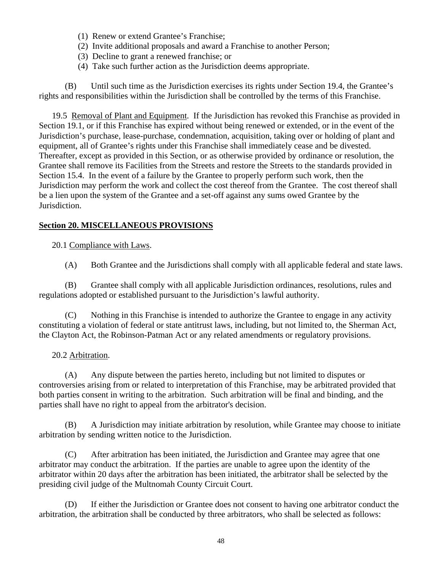- (1) Renew or extend Grantee's Franchise;
- (2) Invite additional proposals and award a Franchise to another Person;
- (3) Decline to grant a renewed franchise; or
- (4) Take such further action as the Jurisdiction deems appropriate.

(B) Until such time as the Jurisdiction exercises its rights under Section 19.4, the Grantee's rights and responsibilities within the Jurisdiction shall be controlled by the terms of this Franchise.

<span id="page-53-0"></span>19.5 Removal of Plant and Equipment. If the Jurisdiction has revoked this Franchise as provided in Section 19.1, or if this Franchise has expired without being renewed or extended, or in the event of the Jurisdiction's purchase, lease-purchase, condemnation, acquisition, taking over or holding of plant and equipment, all of Grantee's rights under this Franchise shall immediately cease and be divested. Thereafter, except as provided in this Section, or as otherwise provided by ordinance or resolution, the Grantee shall remove its Facilities from the Streets and restore the Streets to the standards provided in Section 15.4. In the event of a failure by the Grantee to properly perform such work, then the Jurisdiction may perform the work and collect the cost thereof from the Grantee. The cost thereof shall be a lien upon the system of the Grantee and a set-off against any sums owed Grantee by the Jurisdiction.

### <span id="page-53-2"></span><span id="page-53-1"></span>**Section 20. MISCELLANEOUS PROVISIONS**

20.1 Compliance with Laws.

(A) Both Grantee and the Jurisdictions shall comply with all applicable federal and state laws.

(B) Grantee shall comply with all applicable Jurisdiction ordinances, resolutions, rules and regulations adopted or established pursuant to the Jurisdiction's lawful authority.

(C) Nothing in this Franchise is intended to authorize the Grantee to engage in any activity constituting a violation of federal or state antitrust laws, including, but not limited to, the Sherman Act, the Clayton Act, the Robinson-Patman Act or any related amendments or regulatory provisions.

# 20.2 Arbitration.

<span id="page-53-3"></span>(A) Any dispute between the parties hereto, including but not limited to disputes or controversies arising from or related to interpretation of this Franchise, may be arbitrated provided that both parties consent in writing to the arbitration. Such arbitration will be final and binding, and the parties shall have no right to appeal from the arbitrator's decision.

(B) A Jurisdiction may initiate arbitration by resolution, while Grantee may choose to initiate arbitration by sending written notice to the Jurisdiction.

(C) After arbitration has been initiated, the Jurisdiction and Grantee may agree that one arbitrator may conduct the arbitration. If the parties are unable to agree upon the identity of the arbitrator within 20 days after the arbitration has been initiated, the arbitrator shall be selected by the presiding civil judge of the Multnomah County Circuit Court.

(D) If either the Jurisdiction or Grantee does not consent to having one arbitrator conduct the arbitration, the arbitration shall be conducted by three arbitrators, who shall be selected as follows: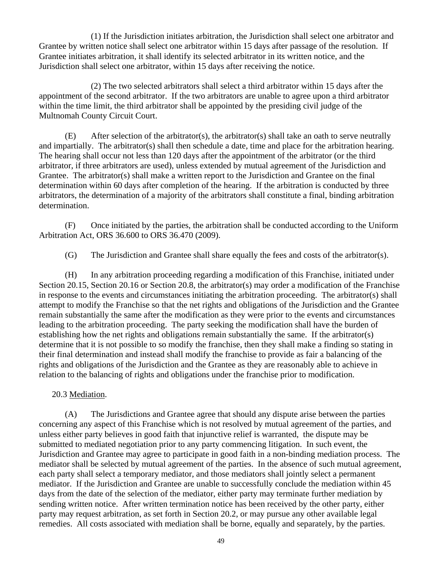(1) If the Jurisdiction initiates arbitration, the Jurisdiction shall select one arbitrator and Grantee by written notice shall select one arbitrator within 15 days after passage of the resolution. If Grantee initiates arbitration, it shall identify its selected arbitrator in its written notice, and the Jurisdiction shall select one arbitrator, within 15 days after receiving the notice.

(2) The two selected arbitrators shall select a third arbitrator within 15 days after the appointment of the second arbitrator. If the two arbitrators are unable to agree upon a third arbitrator within the time limit, the third arbitrator shall be appointed by the presiding civil judge of the Multnomah County Circuit Court.

(E) After selection of the arbitrator(s), the arbitrator(s) shall take an oath to serve neutrally and impartially. The arbitrator(s) shall then schedule a date, time and place for the arbitration hearing. The hearing shall occur not less than 120 days after the appointment of the arbitrator (or the third arbitrator, if three arbitrators are used), unless extended by mutual agreement of the Jurisdiction and Grantee. The arbitrator(s) shall make a written report to the Jurisdiction and Grantee on the final determination within 60 days after completion of the hearing. If the arbitration is conducted by three arbitrators, the determination of a majority of the arbitrators shall constitute a final, binding arbitration determination.

(F) Once initiated by the parties, the arbitration shall be conducted according to the Uniform Arbitration Act, ORS 36.600 to ORS 36.470 (2009).

(G) The Jurisdiction and Grantee shall share equally the fees and costs of the arbitrator(s).

(H) In any arbitration proceeding regarding a modification of this Franchise, initiated under Section 20.15, Section 20.16 or Section 20.8, the arbitrator(s) may order a modification of the Franchise in response to the events and circumstances initiating the arbitration proceeding. The arbitrator(s) shall attempt to modify the Franchise so that the net rights and obligations of the Jurisdiction and the Grantee remain substantially the same after the modification as they were prior to the events and circumstances leading to the arbitration proceeding. The party seeking the modification shall have the burden of establishing how the net rights and obligations remain substantially the same. If the arbitrator(s) determine that it is not possible to so modify the franchise, then they shall make a finding so stating in their final determination and instead shall modify the franchise to provide as fair a balancing of the rights and obligations of the Jurisdiction and the Grantee as they are reasonably able to achieve in relation to the balancing of rights and obligations under the franchise prior to modification.

20.3 Mediation.

<span id="page-54-0"></span>(A) The Jurisdictions and Grantee agree that should any dispute arise between the parties concerning any aspect of this Franchise which is not resolved by mutual agreement of the parties, and unless either party believes in good faith that injunctive relief is warranted, the dispute may be submitted to mediated negotiation prior to any party commencing litigation. In such event, the Jurisdiction and Grantee may agree to participate in good faith in a non-binding mediation process. The mediator shall be selected by mutual agreement of the parties. In the absence of such mutual agreement, each party shall select a temporary mediator, and those mediators shall jointly select a permanent mediator. If the Jurisdiction and Grantee are unable to successfully conclude the mediation within 45 days from the date of the selection of the mediator, either party may terminate further mediation by sending written notice. After written termination notice has been received by the other party, either party may request arbitration, as set forth in Section 20.2, or may pursue any other available legal remedies. All costs associated with mediation shall be borne, equally and separately, by the parties.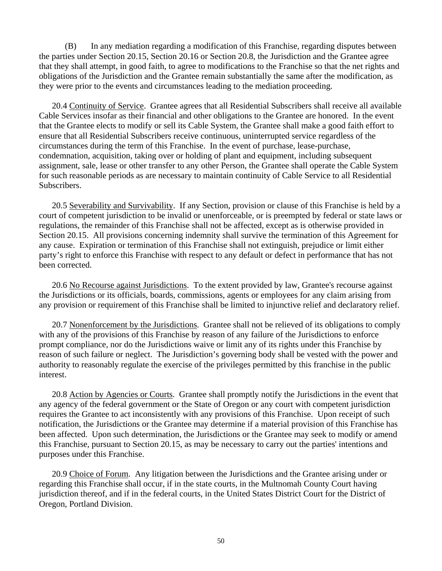(B) In any mediation regarding a modification of this Franchise, regarding disputes between the parties under Section 20.15, Section 20.16 or Section 20.8, the Jurisdiction and the Grantee agree that they shall attempt, in good faith, to agree to modifications to the Franchise so that the net rights and obligations of the Jurisdiction and the Grantee remain substantially the same after the modification, as they were prior to the events and circumstances leading to the mediation proceeding.

<span id="page-55-0"></span>20.4 Continuity of Service. Grantee agrees that all Residential Subscribers shall receive all available Cable Services insofar as their financial and other obligations to the Grantee are honored. In the event that the Grantee elects to modify or sell its Cable System, the Grantee shall make a good faith effort to ensure that all Residential Subscribers receive continuous, uninterrupted service regardless of the circumstances during the term of this Franchise. In the event of purchase, lease-purchase, condemnation, acquisition, taking over or holding of plant and equipment, including subsequent assignment, sale, lease or other transfer to any other Person, the Grantee shall operate the Cable System for such reasonable periods as are necessary to maintain continuity of Cable Service to all Residential Subscribers.

<span id="page-55-1"></span>20.5 Severability and Survivability. If any Section, provision or clause of this Franchise is held by a court of competent jurisdiction to be invalid or unenforceable, or is preempted by federal or state laws or regulations, the remainder of this Franchise shall not be affected, except as is otherwise provided in Section 20.15. All provisions concerning indemnity shall survive the termination of this Agreement for any cause. Expiration or termination of this Franchise shall not extinguish, prejudice or limit either party's right to enforce this Franchise with respect to any default or defect in performance that has not been corrected.

<span id="page-55-2"></span>20.6 No Recourse against Jurisdictions. To the extent provided by law, Grantee's recourse against the Jurisdictions or its officials, boards, commissions, agents or employees for any claim arising from any provision or requirement of this Franchise shall be limited to injunctive relief and declaratory relief.

<span id="page-55-3"></span>20.7 Nonenforcement by the Jurisdictions. Grantee shall not be relieved of its obligations to comply with any of the provisions of this Franchise by reason of any failure of the Jurisdictions to enforce prompt compliance, nor do the Jurisdictions waive or limit any of its rights under this Franchise by reason of such failure or neglect. The Jurisdiction's governing body shall be vested with the power and authority to reasonably regulate the exercise of the privileges permitted by this franchise in the public interest.

<span id="page-55-4"></span>20.8 Action by Agencies or Courts. Grantee shall promptly notify the Jurisdictions in the event that any agency of the federal government or the State of Oregon or any court with competent jurisdiction requires the Grantee to act inconsistently with any provisions of this Franchise. Upon receipt of such notification, the Jurisdictions or the Grantee may determine if a material provision of this Franchise has been affected. Upon such determination, the Jurisdictions or the Grantee may seek to modify or amend this Franchise, pursuant to Section 20.15, as may be necessary to carry out the parties' intentions and purposes under this Franchise.

<span id="page-55-5"></span>20.9 Choice of Forum. Any litigation between the Jurisdictions and the Grantee arising under or regarding this Franchise shall occur, if in the state courts, in the Multnomah County Court having jurisdiction thereof, and if in the federal courts, in the United States District Court for the District of Oregon, Portland Division.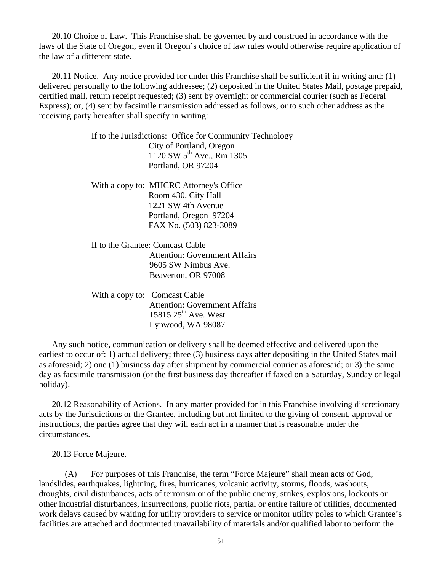<span id="page-56-0"></span>20.10 Choice of Law. This Franchise shall be governed by and construed in accordance with the laws of the State of Oregon, even if Oregon's choice of law rules would otherwise require application of the law of a different state.

<span id="page-56-1"></span>20.11 Notice. Any notice provided for under this Franchise shall be sufficient if in writing and: (1) delivered personally to the following addressee; (2) deposited in the United States Mail, postage prepaid, certified mail, return receipt requested; (3) sent by overnight or commercial courier (such as Federal Express); or, (4) sent by facsimile transmission addressed as follows, or to such other address as the receiving party hereafter shall specify in writing:

> If to the Jurisdictions: Office for Community Technology City of Portland, Oregon 1120 SW 5th Ave., Rm 1305 Portland, OR 97204

With a copy to: MHCRC Attorney's Office Room 430, City Hall 1221 SW 4th Avenue Portland, Oregon 97204 FAX No. (503) 823-3089

If to the Grantee: Comcast Cable Attention: Government Affairs 9605 SW Nimbus Ave. Beaverton, OR 97008

With a copy to: Comcast Cable Attention: Government Affairs 15815  $25<sup>th</sup>$  Ave. West Lynwood, WA 98087

Any such notice, communication or delivery shall be deemed effective and delivered upon the earliest to occur of: 1) actual delivery; three (3) business days after depositing in the United States mail as aforesaid; 2) one (1) business day after shipment by commercial courier as aforesaid; or 3) the same day as facsimile transmission (or the first business day thereafter if faxed on a Saturday, Sunday or legal holiday).

<span id="page-56-2"></span>20.12 Reasonability of Actions. In any matter provided for in this Franchise involving discretionary acts by the Jurisdictions or the Grantee, including but not limited to the giving of consent, approval or instructions, the parties agree that they will each act in a manner that is reasonable under the circumstances.

20.13 Force Majeure.

<span id="page-56-3"></span>(A) For purposes of this Franchise, the term "Force Majeure" shall mean acts of God, landslides, earthquakes, lightning, fires, hurricanes, volcanic activity, storms, floods, washouts, droughts, civil disturbances, acts of terrorism or of the public enemy, strikes, explosions, lockouts or other industrial disturbances, insurrections, public riots, partial or entire failure of utilities, documented work delays caused by waiting for utility providers to service or monitor utility poles to which Grantee's facilities are attached and documented unavailability of materials and/or qualified labor to perform the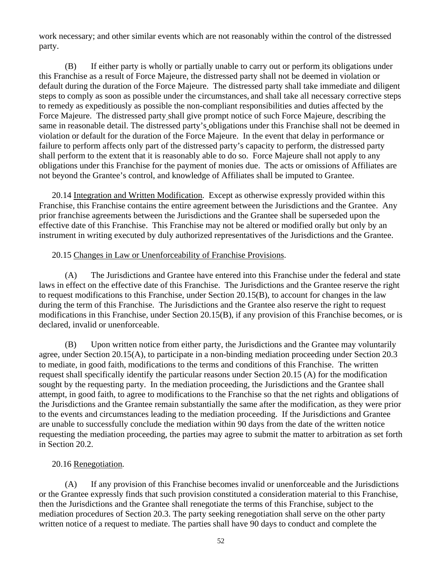work necessary; and other similar events which are not reasonably within the control of the distressed party.

(B) If either party is wholly or partially unable to carry out or perform its obligations under this Franchise as a result of Force Majeure, the distressed party shall not be deemed in violation or default during the duration of the Force Majeure. The distressed party shall take immediate and diligent steps to comply as soon as possible under the circumstances, and shall take all necessary corrective steps to remedy as expeditiously as possible the non-compliant responsibilities and duties affected by the Force Majeure. The distressed party shall give prompt notice of such Force Majeure, describing the same in reasonable detail. The distressed party's obligations under this Franchise shall not be deemed in violation or default for the duration of the Force Majeure. In the event that delay in performance or failure to perform affects only part of the distressed party's capacity to perform, the distressed party shall perform to the extent that it is reasonably able to do so. Force Majeure shall not apply to any obligations under this Franchise for the payment of monies due. The acts or omissions of Affiliates are not beyond the Grantee's control, and knowledge of Affiliates shall be imputed to Grantee.

<span id="page-57-0"></span>20.14 Integration and Written Modification. Except as otherwise expressly provided within this Franchise, this Franchise contains the entire agreement between the Jurisdictions and the Grantee. Any prior franchise agreements between the Jurisdictions and the Grantee shall be superseded upon the effective date of this Franchise. This Franchise may not be altered or modified orally but only by an instrument in writing executed by duly authorized representatives of the Jurisdictions and the Grantee.

### 20.15 Changes in Law or Unenforceability of Franchise Provisions.

<span id="page-57-1"></span>(A) The Jurisdictions and Grantee have entered into this Franchise under the federal and state laws in effect on the effective date of this Franchise. The Jurisdictions and the Grantee reserve the right to request modifications to this Franchise, under Section 20.15(B), to account for changes in the law during the term of this Franchise. The Jurisdictions and the Grantee also reserve the right to request modifications in this Franchise, under Section 20.15(B), if any provision of this Franchise becomes, or is declared, invalid or unenforceable.

(B) Upon written notice from either party, the Jurisdictions and the Grantee may voluntarily agree, under Section 20.15(A), to participate in a non-binding mediation proceeding under Section 20.3 to mediate, in good faith, modifications to the terms and conditions of this Franchise. The written request shall specifically identify the particular reasons under Section 20.15 (A) for the modification sought by the requesting party. In the mediation proceeding, the Jurisdictions and the Grantee shall attempt, in good faith, to agree to modifications to the Franchise so that the net rights and obligations of the Jurisdictions and the Grantee remain substantially the same after the modification, as they were prior to the events and circumstances leading to the mediation proceeding. If the Jurisdictions and Grantee are unable to successfully conclude the mediation within 90 days from the date of the written notice requesting the mediation proceeding, the parties may agree to submit the matter to arbitration as set forth in Section 20.2.

### 20.16 Renegotiation.

<span id="page-57-2"></span>(A) If any provision of this Franchise becomes invalid or unenforceable and the Jurisdictions or the Grantee expressly finds that such provision constituted a consideration material to this Franchise, then the Jurisdictions and the Grantee shall renegotiate the terms of this Franchise, subject to the mediation procedures of Section 20.3. The party seeking renegotiation shall serve on the other party written notice of a request to mediate. The parties shall have 90 days to conduct and complete the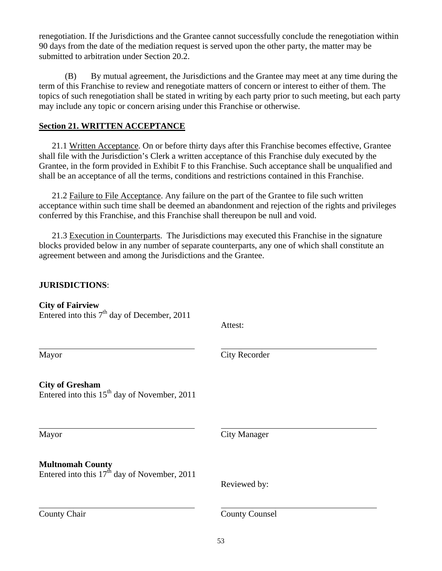renegotiation. If the Jurisdictions and the Grantee cannot successfully conclude the renegotiation within 90 days from the date of the mediation request is served upon the other party, the matter may be submitted to arbitration under Section 20.2.

(B) By mutual agreement, the Jurisdictions and the Grantee may meet at any time during the term of this Franchise to review and renegotiate matters of concern or interest to either of them. The topics of such renegotiation shall be stated in writing by each party prior to such meeting, but each party may include any topic or concern arising under this Franchise or otherwise.

# <span id="page-58-0"></span>**Section 21. WRITTEN ACCEPTANCE**

<span id="page-58-1"></span>21.1 Written Acceptance. On or before thirty days after this Franchise becomes effective, Grantee shall file with the Jurisdiction's Clerk a written acceptance of this Franchise duly executed by the Grantee, in the form provided in Exhibit F to this Franchise. Such acceptance shall be unqualified and shall be an acceptance of all the terms, conditions and restrictions contained in this Franchise.

<span id="page-58-2"></span>21.2 Failure to File Acceptance. Any failure on the part of the Grantee to file such written acceptance within such time shall be deemed an abandonment and rejection of the rights and privileges conferred by this Franchise, and this Franchise shall thereupon be null and void.

21.3 Execution in Counterparts. The Jurisdictions may executed this Franchise in the signature blocks provided below in any number of separate counterparts, any one of which shall constitute an agreement between and among the Jurisdictions and the Grantee.

# **JURISDICTIONS**:

| <b>City of Fairview</b><br>Entered into this 7 <sup>th</sup> day of December, 2011 | Attest:               |
|------------------------------------------------------------------------------------|-----------------------|
| Mayor                                                                              | <b>City Recorder</b>  |
| <b>City of Gresham</b><br>Entered into this $15th$ day of November, 2011           |                       |
| Mayor                                                                              | <b>City Manager</b>   |
| <b>Multnomah County</b><br>Entered into this $17th$ day of November, 2011          | Reviewed by:          |
| <b>County Chair</b>                                                                | <b>County Counsel</b> |